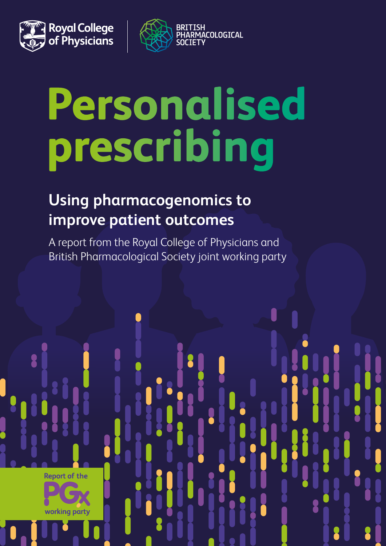



# Personalised prescribing

## **Using pharmacogenomics to improve patient outcomes**

A report from the Royal College of Physicians and British Pharmacological Society joint working party

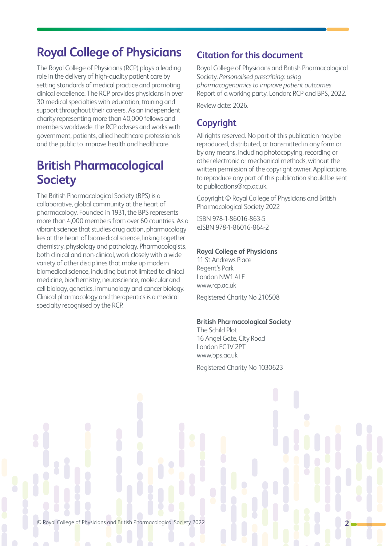## **Royal College of Physicians**

The Royal College of Physicians (RCP) plays a leading role in the delivery of high-quality patient care by setting standards of medical practice and promoting clinical excellence. The RCP provides physicians in over 30 medical specialties with education, training and support throughout their careers. As an independent charity representing more than 40,000 fellows and members worldwide, the RCP advises and works with government, patients, allied healthcare professionals and the public to improve health and healthcare.

## **British Pharmacological Society**

The British Pharmacological Society (BPS) is a collaborative, global community at the heart of pharmacology. Founded in 1931, the BPS represents more than 4,000 members from over 60 countries. As a vibrant science that studies drug action, pharmacology lies at the heart of biomedical science, linking together chemistry, physiology and pathology. Pharmacologists, both clinical and non-clinical, work closely with a wide variety of other disciplines that make up modern biomedical science, including but not limited to clinical medicine, biochemistry, neuroscience, molecular and cell biology, genetics, immunology and cancer biology. Clinical pharmacology and therapeutics is a medical specialty recognised by the RCP.

#### **Citation for this document**

Royal College of Physicians and British Pharmacological Society. *Personalised prescribing: using pharmacogenomics to improve patient outcomes.*  Report of a working party. London: RCP and BPS, 2022.

Review date: 2026.

#### **Copyright**

All rights reserved. No part of this publication may be reproduced, distributed, or transmitted in any form or by any means, including photocopying, recording or other electronic or mechanical methods, without the written permission of the copyright owner. Applications to reproduce any part of this publication should be sent to publications@rcp.ac.uk.

Copyright © Royal College of Physicians and British Pharmacological Society 2022

ISBN 978-1-86016-863-5 eISBN 978-1-86016-864-2

#### **Royal College of Physicians**

11 St Andrews Place Regent's Park London NW1 4LE www.rcp.ac.uk

Registered Charity No 210508

#### **British Pharmacological Society**

The Schild Plot 16 Angel Gate, City Road London EC1V 2PT www.bps.ac.uk

Registered Charity No 1030623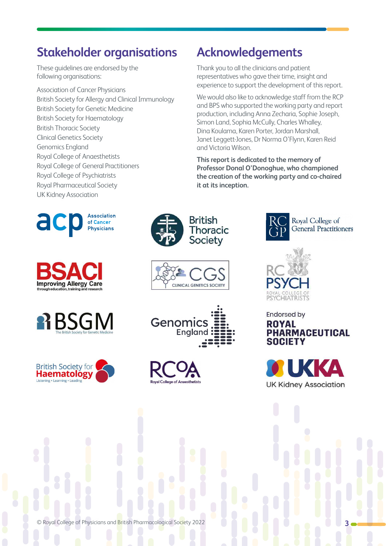### **Stakeholder organisations**

These guidelines are endorsed by the following organisations:

Association of Cancer Physicians British Society for Allergy and Clinical Immunology British Society for Genetic Medicine British Society for Haematology British Thoracic Society Clinical Genetics Society Genomics England Royal College of Anaesthetists Royal College of General Practitioners Royal College of Psychiatrists Royal Pharmaceutical Society UK Kidney Association

















### **Acknowledgements**

Thank you to all the clinicians and patient representatives who gave their time, insight and experience to support the development of this report.

We would also like to acknowledge staff from the RCP and BPS who supported the working party and report production, including Anna Zecharia, Sophie Joseph, Simon Land, Sophia McCully, Charles Whalley, Dina Koulama, Karen Porter, Jordan Marshall, Janet Leggett-Jones, Dr Norma O'Flynn, Karen Reid and Victoria Wilson.

**This report is dedicated to the memory of Professor Donal O'Donoghue, who championed the creation of the working party and co-chaired it at its inception.**





#### **Endorsed by ROYAL PHARMACEUTICAL SOCIETY**



© Royal College of Physicians and British Pharmacological Society 2022 **3**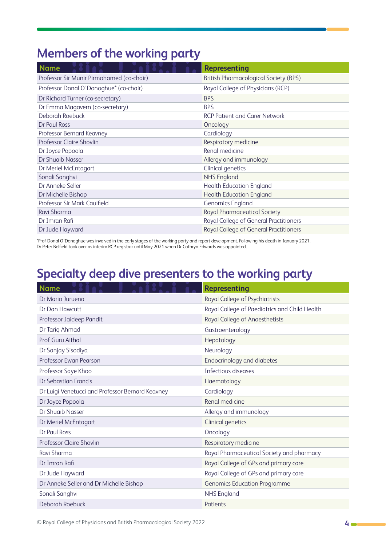## **Members of the working party**

| <b>Name</b>                               | <b>Representing</b>                          |
|-------------------------------------------|----------------------------------------------|
| Professor Sir Munir Pirmohamed (co-chair) | <b>British Pharmacological Society (BPS)</b> |
| Professor Donal O'Donoghue* (co-chair)    | Royal College of Physicians (RCP)            |
| Dr Richard Turner (co-secretary)          | <b>BPS</b>                                   |
| Dr Emma Magavern (co-secretary)           | <b>BPS</b>                                   |
| Deborah Roebuck                           | <b>RCP Patient and Carer Network</b>         |
| Dr Paul Ross                              | Oncology                                     |
| Professor Bernard Keavney                 | Cardiology                                   |
| Professor Claire Shovlin                  | Respiratory medicine                         |
| Dr Joyce Popoola                          | Renal medicine                               |
| Dr Shuaib Nasser                          | Allergy and immunology                       |
| Dr Meriel McEntagart                      | Clinical genetics                            |
| Sonali Sanghvi                            | <b>NHS England</b>                           |
| Dr Anneke Seller                          | <b>Health Education England</b>              |
| Dr Michelle Bishop                        | <b>Health Education England</b>              |
| Professor Sir Mark Caulfield              | <b>Genomics England</b>                      |
| Ravi Sharma                               | Royal Pharmaceutical Society                 |
| Dr Imran Rafi                             | Royal College of General Practitioners       |
| Dr Jude Hayward                           | Royal College of General Practitioners       |

\*Prof Donal O'Donoghue was involved in the early stages of the working party and report development. Following his death in January 2021, Dr Peter Belfield took over as interim RCP registrar until May 2021 when Dr Cathryn Edwards was appointed.

## **Specialty deep dive presenters to the working party**

| <b>Name</b>                                      | <b>Representing</b>                           |
|--------------------------------------------------|-----------------------------------------------|
| Dr Mario Juruena                                 | Royal College of Psychiatrists                |
| Dr Dan Hawcutt                                   | Royal College of Paediatrics and Child Health |
| Professor Jaideep Pandit                         | Royal College of Anaesthetists                |
| Dr Tariq Ahmad                                   | Gastroenterology                              |
| Prof Guru Aithal                                 | Hepatology                                    |
| Dr Sanjay Sisodiya                               | Neurology                                     |
| Professor Ewan Pearson                           | Endocrinology and diabetes                    |
| Professor Saye Khoo                              | Infectious diseases                           |
| Dr Sebastian Francis                             | Haematology                                   |
| Dr Luigi Venetucci and Professor Bernard Keavney | Cardiology                                    |
| Dr Joyce Popoola                                 | Renal medicine                                |
| Dr Shuaib Nasser                                 | Allergy and immunology                        |
| Dr Meriel McEntagart                             | <b>Clinical genetics</b>                      |
| Dr Paul Ross                                     | Oncology                                      |
| <b>Professor Claire Shovlin</b>                  | Respiratory medicine                          |
| Ravi Sharma                                      | Royal Pharmaceutical Society and pharmacy     |
| Dr Imran Rafi                                    | Royal College of GPs and primary care         |
| Dr Jude Hayward                                  | Royal College of GPs and primary care         |
| Dr Anneke Seller and Dr Michelle Bishop          | <b>Genomics Education Programme</b>           |
| Sonali Sanghvi                                   | <b>NHS England</b>                            |
| Deborah Roebuck                                  | Patients                                      |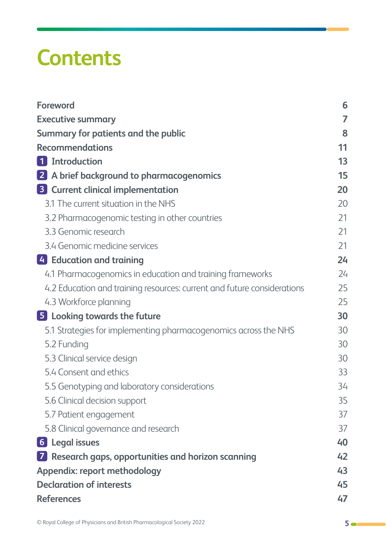# **Contents**

| <b>Foreword</b>                                                         | 6  |
|-------------------------------------------------------------------------|----|
| <b>Executive summary</b>                                                | 7  |
| Summary for patients and the public                                     | 8  |
| <b>Recommendations</b>                                                  | 11 |
| 1 Introduction                                                          | 13 |
| 2 A brief background to pharmacogenomics                                | 15 |
| <b>3</b> Current clinical implementation                                | 20 |
| 3.1 The current situation in the NHS                                    | 20 |
| 3.2 Pharmacogenomic testing in other countries                          | 21 |
| 3.3 Genomic research                                                    | 21 |
| 3.4 Genomic medicine services                                           | 21 |
| 4 Education and training                                                | 24 |
| 4.1 Pharmacogenomics in education and training frameworks               | 24 |
| 4.2 Education and training resources: current and future considerations | 25 |
| 4.3 Workforce planning                                                  | 25 |
| 5 Looking towards the future                                            | 30 |
| 5.1 Strategies for implementing pharmacogenomics across the NHS         | 30 |
| 5.2 Funding                                                             | 30 |
| 5.3 Clinical service design                                             | 30 |
| 5.4 Consent and ethics                                                  | 33 |
| 5.5 Genotyping and laboratory considerations                            | 34 |
| 5.6 Clinical decision support                                           | 35 |
| 5.7 Patient engagement                                                  | 37 |
| 5.8 Clinical governance and research                                    | 37 |
| <b>6</b> Legal issues                                                   | 40 |
| 7 Research gaps, opportunities and horizon scanning                     | 42 |
| Appendix: report methodology                                            | 43 |
| <b>Declaration of interests</b>                                         | 45 |
| <b>References</b>                                                       | 47 |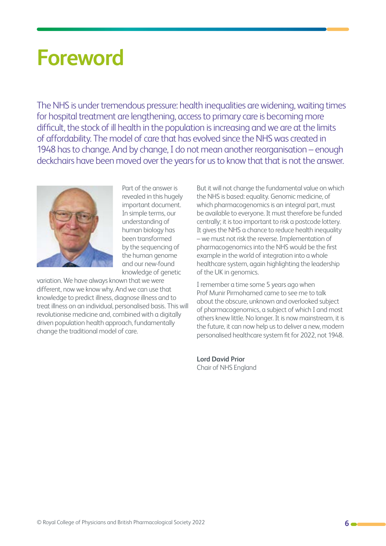# <span id="page-5-0"></span>**Foreword**

The NHS is under tremendous pressure: health inequalities are widening, waiting times for hospital treatment are lengthening, access to primary care is becoming more difficult, the stock of ill health in the population is increasing and we are at the limits of affordability. The model of care that has evolved since the NHS was created in 1948 has to change. And by change, I do not mean another reorganisation – enough deckchairs have been moved over the years for us to know that that is not the answer.



Part of the answer is revealed in this hugely important document. In simple terms, our understanding of human biology has been transformed by the sequencing of the human genome and our new-found knowledge of genetic

variation. We have always known that we were different, now we know why. And we can use that knowledge to predict illness, diagnose illness and to treat illness on an individual, personalised basis. This will revolutionise medicine and, combined with a digitally driven population health approach, fundamentally change the traditional model of care.

But it will not change the fundamental value on which the NHS is based: equality. Genomic medicine, of which pharmacogenomics is an integral part, must be available to everyone. It must therefore be funded centrally; it is too important to risk a postcode lottery. It gives the NHS a chance to reduce health inequality – we must not risk the reverse. Implementation of pharmacogenomics into the NHS would be the first example in the world of integration into a whole healthcare system, again highlighting the leadership of the UK in genomics.

I remember a time some 5 years ago when Prof Munir Pirmohamed came to see me to talk about the obscure, unknown and overlooked subject of pharmacogenomics, a subject of which I and most others knew little. No longer. It is now mainstream, it is the future, it can now help us to deliver a new, modern personalised healthcare system fit for 2022, not 1948.

**Lord David Prior** Chair of NHS England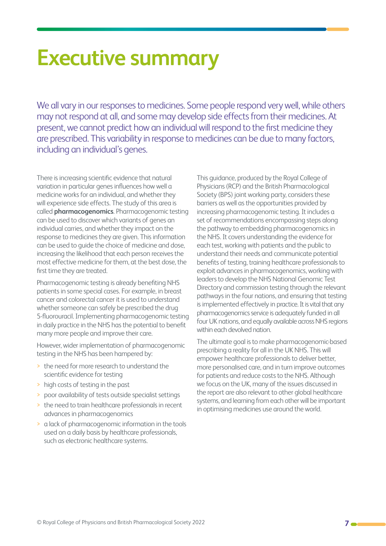# <span id="page-6-0"></span>**Executive summary**

We all vary in our responses to medicines. Some people respond very well, while others may not respond at all, and some may develop side effects from their medicines. At present, we cannot predict how an individual will respond to the first medicine they are prescribed. This variability in response to medicines can be due to many factors, including an individual's genes.

There is increasing scientific evidence that natural variation in particular genes influences how well a medicine works for an individual, and whether they will experience side effects. The study of this area is called **pharmacogenomics**. Pharmacogenomic testing can be used to discover which variants of genes an individual carries, and whether they impact on the response to medicines they are given. This information can be used to guide the choice of medicine and dose, increasing the likelihood that each person receives the most effective medicine for them, at the best dose, the first time they are treated.

Pharmacogenomic testing is already benefiting NHS patients in some special cases. For example, in breast cancer and colorectal cancer it is used to understand whether someone can safely be prescribed the drug 5-fluorouracil. Implementing pharmacogenomic testing in daily practice in the NHS has the potential to benefit many more people and improve their care.

However, wider implementation of pharmacogenomic testing in the NHS has been hampered by:

- > the need for more research to understand the scientific evidence for testing
- > high costs of testing in the past
- > poor availability of tests outside specialist settings
- > the need to train healthcare professionals in recent advances in pharmacogenomics
- > a lack of pharmacogenomic information in the tools used on a daily basis by healthcare professionals, such as electronic healthcare systems.

This guidance, produced by the Royal College of Physicians (RCP) and the British Pharmacological Society (BPS) joint working party, considers these barriers as well as the opportunities provided by increasing pharmacogenomic testing. It includes a set of recommendations encompassing steps along the pathway to embedding pharmacogenomics in the NHS. It covers understanding the evidence for each test, working with patients and the public to understand their needs and communicate potential benefits of testing, training healthcare professionals to exploit advances in pharmacogenomics, working with leaders to develop the NHS National Genomic Test Directory and commission testing through the relevant pathways in the four nations, and ensuring that testing is implemented effectively in practice. It is vital that any pharmacogenomics service is adequately funded in all four UK nations, and equally available across NHS regions within each devolved nation.

The ultimate goal is to make pharmacogenomic-based prescribing a reality for all in the UK NHS. This will empower healthcare professionals to deliver better, more personalised care, and in turn improve outcomes for patients and reduce costs to the NHS. Although we focus on the UK, many of the issues discussed in the report are also relevant to other global healthcare systems, and learning from each other will be important in optimising medicines use around the world.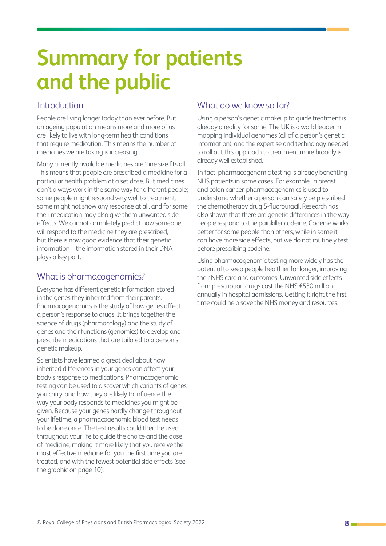# <span id="page-7-0"></span>**Summary for patients and the public**

#### **Introduction**

People are living longer today than ever before. But an ageing population means more and more of us are likely to live with long-term health conditions that require medication. This means the number of medicines we are taking is increasing.

Many currently available medicines are 'one size fits all'. This means that people are prescribed a medicine for a particular health problem at a set dose. But medicines don't always work in the same way for different people; some people might respond very well to treatment, some might not show any response at all, and for some their medication may also give them unwanted side effects. We cannot completely predict how someone will respond to the medicine they are prescribed. but there is now good evidence that their genetic information – the information stored in their DNA – plays a key part.

#### What is pharmacogenomics?

Everyone has different genetic information, stored in the genes they inherited from their parents. Pharmacogenomics is the study of how genes affect a person's response to drugs. It brings together the science of drugs (pharmacology) and the study of genes and their functions (genomics) to develop and prescribe medications that are tailored to a person's genetic makeup.

Scientists have learned a great deal about how inherited differences in your genes can affect your body's response to medications. Pharmacogenomic testing can be used to discover which variants of genes you carry, and how they are likely to influence the way your body responds to medicines you might be given. Because your genes hardly change throughout your lifetime, a pharmacogenomic blood test needs to be done once. The test results could then be used throughout your life to guide the choice and the dose of medicine, making it more likely that you receive the most effective medicine for you the first time you are treated, and with the fewest potential side effects (see the graphic on page 10).

#### What do we know so far?

Using a person's genetic makeup to guide treatment is already a reality for some. The UK is a world leader in mapping individual genomes (all of a person's genetic information), and the expertise and technology needed to roll out this approach to treatment more broadly is already well established.

In fact, pharmacogenomic testing is already benefiting NHS patients in some cases. For example, in breast and colon cancer, pharmacogenomics is used to understand whether a person can safely be prescribed the chemotherapy drug 5-fluorouracil. Research has also shown that there are genetic differences in the way people respond to the painkiller codeine. Codeine works better for some people than others, while in some it can have more side effects, but we do not routinely test before prescribing codeine.

Using pharmacogenomic testing more widely has the potential to keep people healthier for longer, improving their NHS care and outcomes. Unwanted side effects from prescription drugs cost the NHS £530 million annually in hospital admissions. Getting it right the first time could help save the NHS money and resources.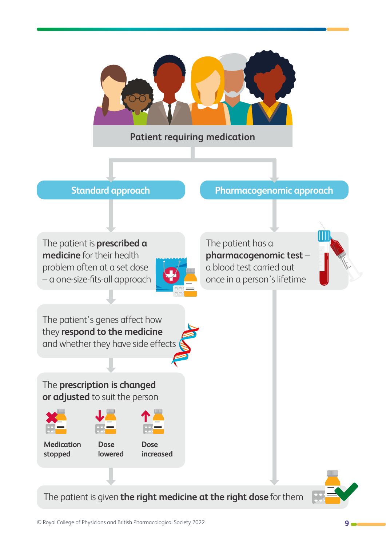

#### **Patient requiring medication**

#### **Standard approach by Pharmacogenomic approach**

The patient is **prescribed a medicine** for their health problem often at a set dose – a one-size-fits-all approach



The patient has a **pharmacogenomic test** – once in a person's lifetime



The patient's genes affect how they **respond to the medicine** and whether they have side effects

The **prescription is changed or adjusted** to suit the person







**Medication stopped** 

**Dose lowered** 

**Dose increased** a blood test carried out

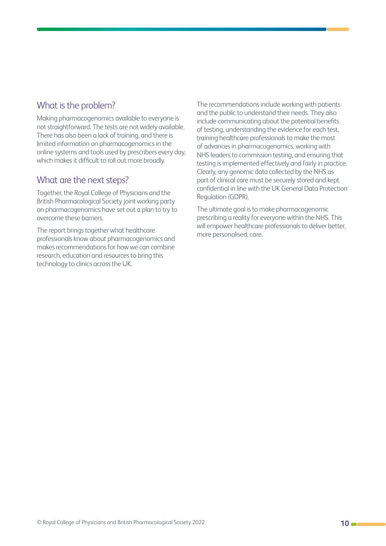#### What is the problem?

Making pharmacogenomics available to everyone is not straightforward. The tests are not widely available. There has also been a lack of training, and there is limited information on pharmacogenomics in the online systems and tools used by prescribers every day, which makes it difficult to roll out more broadly.

#### What are the next steps?

Together, the Royal College of Physicians and the British Pharmacological Society joint working party on pharmacogenomics have set out a plan to try to overcome these barriers.

The report brings together what healthcare professionals know about pharmacogenomics and makes recommendations for how we can combine research, education and resources to bring this technology to clinics across the UK.

The recommendations include working with patients and the public to understand their needs. They also include communicating about the potential benefits of testing, understanding the evidence for each test, training healthcare professionals to make the most of advances in pharmacogenomics, working with NHS leaders to commission testing, and ensuring that testing is implemented effectively and fairly in practice. Clearly, any genomic data collected by the NHS as part of clinical care must be securely stored and kept confidential in line with the UK General Data Protection Regulation (GDPR).

The ultimate goal is to make pharmacogenomic prescribing a reality for everyone within the NHS. This will empower healthcare professionals to deliver better, more personalised, care.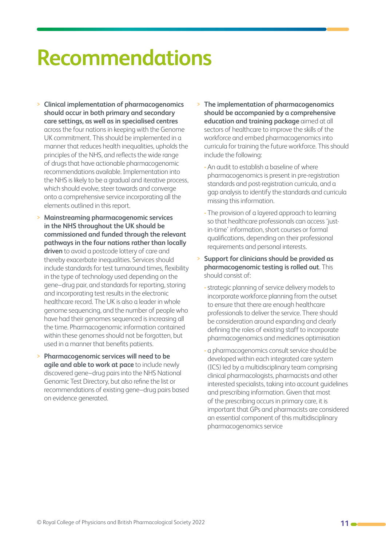# <span id="page-10-0"></span>**Recommendations**

- > **Clinical implementation of pharmacogenomics should occur in both primary and secondary care settings, as well as in specialised centres** across the four nations in keeping with the Genome UK commitment. This should be implemented in a manner that reduces health inequalities, upholds the principles of the NHS, and reflects the wide range of drugs that have actionable pharmacogenomic recommendations available. Implementation into the NHS is likely to be a gradual and iterative process, which should evolve, steer towards and converge onto a comprehensive service incorporating all the elements outlined in this report.
- > **Mainstreaming pharmacogenomic services in the NHS throughout the UK should be commissioned and funded through the relevant pathways in the four nations rather than locally driven** to avoid a postcode lottery of care and thereby exacerbate inequalities. Services should include standards for test turnaround times, flexibility in the type of technology used depending on the gene–drug pair, and standards for reporting, storing and incorporating test results in the electronic healthcare record. The UK is also a leader in whole genome sequencing, and the number of people who have had their genomes sequenced is increasing all the time. Pharmacogenomic information contained within these genomes should not be forgotten, but used in a manner that benefits patients.
- > **Pharmacogenomic services will need to be agile and able to work at pace** to include newly discovered gene–drug pairs into the NHS National Genomic Test Directory, but also refine the list or recommendations of existing gene–drug pairs based on evidence generated.
- > **The implementation of pharmacogenomics should be accompanied by a comprehensive education and training package** aimed at all sectors of healthcare to improve the skills of the workforce and embed pharmacogenomics into curricula for training the future workforce. This should include the following:
	- **-** An audit to establish a baseline of where pharmacogenomics is present in pre-registration standards and post-registration curricula, and a gap analysis to identify the standards and curricula missing this information.
	- **-** The provision of a layered approach to learning so that healthcare professionals can access 'justin-time' information, short courses or formal qualifications, depending on their professional requirements and personal interests.
- > **Support for clinicians should be provided as pharmacogenomic testing is rolled out**. This should consist of:
	- **-**strategic planning of service delivery models to incorporate workforce planning from the outset to ensure that there are enough healthcare professionals to deliver the service. There should be consideration around expanding and clearly defining the roles of existing staff to incorporate pharmacogenomics and medicines optimisation
	- **-** a pharmacogenomics consult service should be developed within each integrated care system (ICS) led by a multidisciplinary team comprising clinical pharmacologists, pharmacists and other interested specialists, taking into account guidelines and prescribing information. Given that most of the prescribing occurs in primary care, it is important that GPs and pharmacists are considered an essential component of this multidisciplinary pharmacogenomics service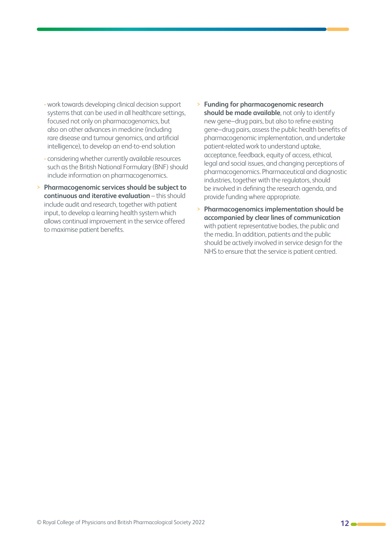- **-** work towards developing clinical decision support systems that can be used in all healthcare settings, focused not only on pharmacogenomics, but also on other advances in medicine (including rare disease and tumour genomics, and artificial intelligence), to develop an end-to-end solution
- **-** considering whether currently available resources such as the British National Formulary (BNF) should include information on pharmacogenomics.
- > **Pharmacogenomic services should be subject to continuous and iterative evaluation** – this should include audit and research, together with patient input, to develop a learning health system which allows continual improvement in the service offered to maximise patient benefits.
- > **Funding for pharmacogenomic research should be made available**, not only to identify new gene–drug pairs, but also to refine existing gene–drug pairs, assess the public health benefits of pharmacogenomic implementation, and undertake patient-related work to understand uptake, acceptance, feedback, equity of access, ethical, legal and social issues, and changing perceptions of pharmacogenomics. Pharmaceutical and diagnostic industries, together with the regulators, should be involved in defining the research agenda, and provide funding where appropriate.
- > **Pharmacogenomics implementation should be accompanied by clear lines of communication** with patient representative bodies, the public and the media. In addition, patients and the public should be actively involved in service design for the NHS to ensure that the service is patient centred.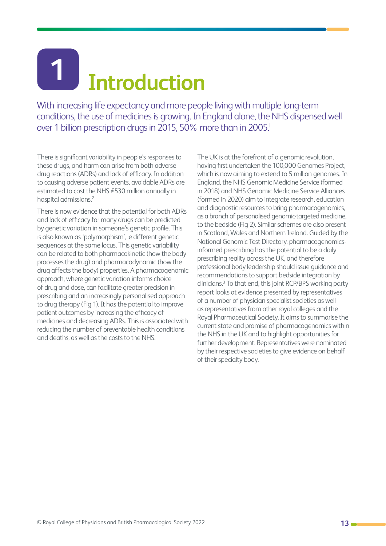# <span id="page-12-0"></span>**Introduction 1**

With increasing life expectancy and more people living with multiple long-term conditions, the use of medicines is growing. In England alone, the NHS dispensed well over 1 billion prescription drugs in 2015, 50% more than in 2005.<sup>1</sup>

There is significant variability in people's responses to these drugs, and harm can arise from both adverse drug reactions (ADRs) and lack of efficacy. In addition to causing adverse patient events, avoidable ADRs are estimated to cost the NHS £530 million annually in hospital admissions.2

There is now evidence that the potential for both ADRs and lack of efficacy for many drugs can be predicted by genetic variation in someone's genetic profile. This is also known as 'polymorphism', ie different genetic sequences at the same locus. This genetic variability can be related to both pharmacokinetic (how the body processes the drug) and pharmacodynamic (how the drug affects the body) properties. A pharmacogenomic approach, where genetic variation informs choice of drug and dose, can facilitate greater precision in prescribing and an increasingly personalised approach to drug therapy (Fig 1). It has the potential to improve patient outcomes by increasing the efficacy of medicines and decreasing ADRs. This is associated with reducing the number of preventable health conditions and deaths, as well as the costs to the NHS.

The UK is at the forefront of a genomic revolution, having first undertaken the 100,000 Genomes Project, which is now aiming to extend to 5 million genomes. In England, the NHS Genomic Medicine Service (formed in 2018) and NHS Genomic Medicine Service Alliances (formed in 2020) aim to integrate research, education and diagnostic resources to bring pharmacogenomics, as a branch of personalised genomic-targeted medicine, to the bedside (Fig 2). Similar schemes are also present in Scotland, Wales and Northern Ireland. Guided by the National Genomic Test Directory, pharmacogenomicsinformed prescribing has the potential to be a daily prescribing reality across the UK, and therefore professional body leadership should issue guidance and recommendations to support bedside integration by clinicians.3 To that end, this joint RCP/BPS working party report looks at evidence presented by representatives of a number of physician specialist societies as well as representatives from other royal colleges and the Royal Pharmaceutical Society. It aims to summarise the current state and promise of pharmacogenomics within the NHS in the UK and to highlight opportunities for further development. Representatives were nominated by their respective societies to give evidence on behalf of their specialty body.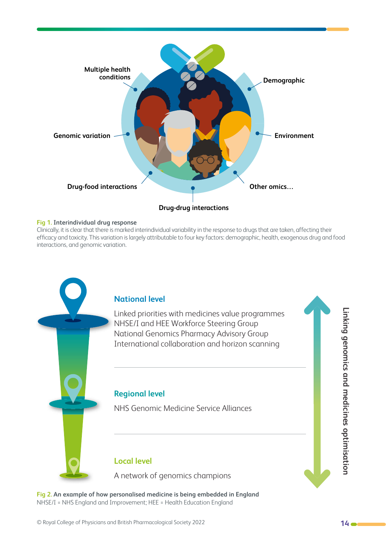

#### **Fig 1. Interindividual drug response**

Clinically, it is clear that there is marked interindividual variability in the response to drugs that are taken, affecting their efficacy and toxicity. This variation is largely attributable to four key factors: demographic, health, exogenous drug and food interactions, and genomic variation.



**Fig 2. An example of how personalised medicine is being embedded in England** NHSE/I = NHS England and Improvement; HEE = Health Education England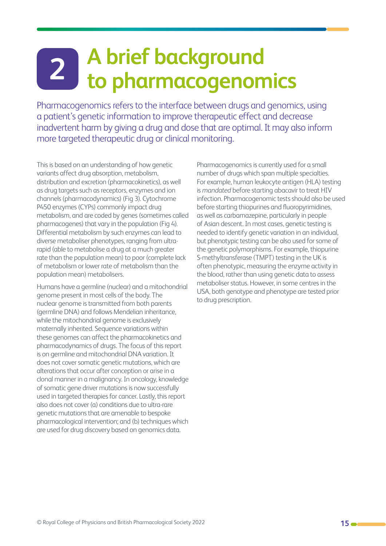## <span id="page-14-0"></span>**A brief background to pharmacogenomics 2**

Pharmacogenomics refers to the interface between drugs and genomics, using a patient's genetic information to improve therapeutic effect and decrease inadvertent harm by giving a drug and dose that are optimal. It may also inform more targeted therapeutic drug or clinical monitoring.

This is based on an understanding of how genetic variants affect drug absorption, metabolism, distribution and excretion (pharmacokinetics), as well as drug targets such as receptors, enzymes and ion channels (pharmacodynamics) (Fig 3). Cytochrome P450 enzymes (CYPs) commonly impact drug metabolism, and are coded by genes (sometimes called pharmacogenes) that vary in the population (Fig 4). Differential metabolism by such enzymes can lead to diverse metaboliser phenotypes, ranging from ultrarapid (able to metabolise a drug at a much greater rate than the population mean) to poor (complete lack of metabolism or lower rate of metabolism than the population mean) metabolisers.

Humans have a germline (nuclear) and a mitochondrial genome present in most cells of the body. The nuclear genome is transmitted from both parents (germline DNA) and follows Mendelian inheritance, while the mitochondrial genome is exclusively maternally inherited. Sequence variations within these genomes can affect the pharmacokinetics and pharmacodynamics of drugs. The focus of this report is on germline and mitochondrial DNA variation. It does not cover somatic genetic mutations, which are alterations that occur after conception or arise in a clonal manner in a malignancy. In oncology, knowledge of somatic gene driver mutations is now successfully used in targeted therapies for cancer. Lastly, this report also does not cover (a) conditions due to ultra-rare genetic mutations that are amenable to bespoke pharmacological intervention; and (b) techniques which are used for drug discovery based on genomics data.

Pharmacogenomics is currently used for a small number of drugs which span multiple specialties. For example, human leukocyte antigen (HLA) testing is *mandated* before starting abacavir to treat HIV infection. Pharmacogenomic tests should also be used before starting thiopurines and fluoropyrimidines, as well as carbamazepine, particularly in people of Asian descent. In most cases, genetic testing is needed to identify genetic variation in an individual, but phenotypic testing can be also used for some of the genetic polymorphisms. For example, thiopurine S-methyltransferase (TMPT) testing in the UK is often phenotypic, measuring the enzyme activity in the blood, rather than using genetic data to assess metaboliser status. However, in some centres in the USA, both genotype and phenotype are tested prior to drug prescription.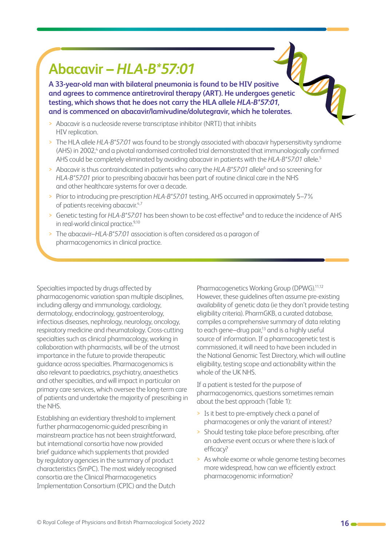## **Abacavir –** *HLA-B\*57:01*

**A 33-year-old man with bilateral pneumonia is found to be HIV positive and agrees to commence antiretroviral therapy (ART). He undergoes genetic testing, which shows that he does not carry the HLA allele** *HLA-B\*57:01***, and is commenced on abacavir/lamivudine/dolutegravir, which he tolerates.**

- > Abacavir is a nucleoside reverse transcriptase inhibitor (NRTI) that inhibits HIV replication.
- > The HLA allele *HLA-B\*57:01* was found to be strongly associated with abacavir hypersensitivity syndrome (AHS) in 2002,<sup>4</sup> and a pivotal randomised controlled trial demonstrated that immunologically confirmed AHS could be completely eliminated by avoiding abacavir in patients with the *HLA-B\*57:01* allele.5
- > Abacavir is thus contraindicated in patients who carry the *HLA-B\*57:01* allele<sup>6</sup> and so screening for *HLA-B\*57:01* prior to prescribing abacavir has been part of routine clinical care in the NHS and other healthcare systems for over a decade.
- > Prior to introducing pre-prescription *HLA-B\*57:01* testing, AHS occurred in approximately 5–7% of patients receiving abacavir.<sup>4,7</sup>
- > Genetic testing for HLA-B\*57:01 has been shown to be cost-effective<sup>8</sup> and to reduce the incidence of AHS in real-world clinical practice.<sup>9,10</sup>
- > The abacavir–*HLA-B\*57:01* association is often considered as a paragon of pharmacogenomics in clinical practice.

Specialties impacted by drugs affected by pharmacogenomic variation span multiple disciplines, including allergy and immunology, cardiology, dermatology, endocrinology, gastroenterology, infectious diseases, nephrology, neurology, oncology, respiratory medicine and rheumatology. Cross-cutting specialties such as clinical pharmacology, working in collaboration with pharmacists, will be of the utmost importance in the future to provide therapeutic guidance across specialties. Pharmacogenomics is also relevant to paediatrics, psychiatry, anaesthetics and other specialties, and will impact in particular on primary care services, which oversee the long-term care of patients and undertake the majority of prescribing in the NHS.

Establishing an evidentiary threshold to implement further pharmacogenomic-guided prescribing in mainstream practice has not been straightforward, but international consortia have now provided brief guidance which supplements that provided by regulatory agencies in the summary of product characteristics (SmPC). The most widely recognised consortia are the Clinical Pharmacogenetics Implementation Consortium (CPIC) and the Dutch

Pharmacogenetics Working Group (DPWG).<sup>11,12</sup> However, these guidelines often assume pre-existing availability of genetic data (ie they don't provide testing eligibility criteria). PharmGKB, a curated database, compiles a comprehensive summary of data relating to each gene–drug pair,<sup>13</sup> and is a highly useful source of information. If a pharmacogenetic test is commissioned, it will need to have been included in the National Genomic Test Directory, which will outline eligibility, testing scope and actionability within the whole of the UK NHS.

If a patient is tested for the purpose of pharmacogenomics, questions sometimes remain about the best approach (Table 1):

- > Is it best to pre-emptively check a panel of pharmacogenes or only the variant of interest?
- > Should testing take place before prescribing, after an adverse event occurs or where there is lack of efficacy?
- > As whole exome or whole genome testing becomes more widespread, how can we efficiently extract pharmacogenomic information?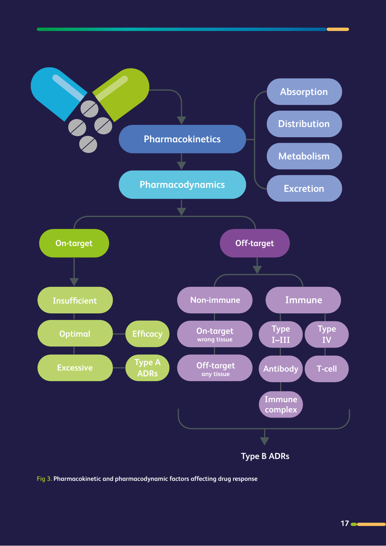

**Fig 3. Pharmacokinetic and pharmacodynamic factors affecting drug response**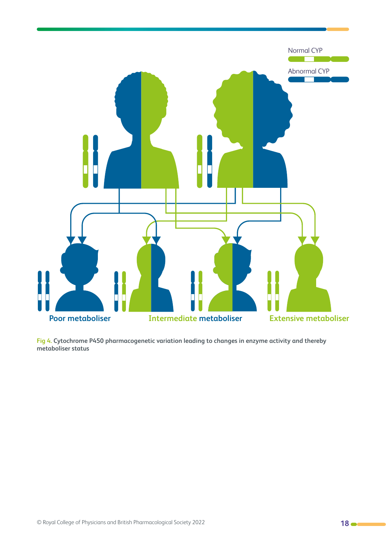

**Fig 4. Cytochrome P450 pharmacogenetic variation leading to changes in enzyme activity and thereby metaboliser status**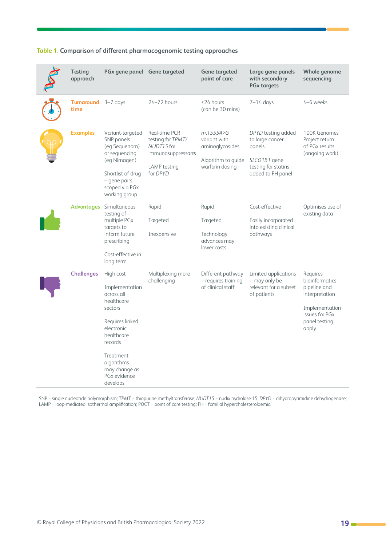| Testing<br>approach         | PGx gene panel Gene targeted                                                                                                                                                                         |                                                                                                    | <b>Gene targeted</b><br>point of care                                                   | Large gene panels<br>with secondary<br><b>PGx targets</b>                                                   | Whole genome<br>sequencing                                                                                                 |
|-----------------------------|------------------------------------------------------------------------------------------------------------------------------------------------------------------------------------------------------|----------------------------------------------------------------------------------------------------|-----------------------------------------------------------------------------------------|-------------------------------------------------------------------------------------------------------------|----------------------------------------------------------------------------------------------------------------------------|
| Turnaround 3-7 days<br>time |                                                                                                                                                                                                      | 24-72 hours                                                                                        | <24 hours<br>(can be 30 mins)                                                           | $7-14$ days                                                                                                 | 4-6 weeks                                                                                                                  |
| <b>Examples</b>             | Variant-targeted<br>SNP panels<br>(eg Sequenom)<br>or sequencing<br>(eq Nimagen)<br>Shortlist of drug<br>- gene pairs<br>scoped via PGx<br>working group                                             | Real-time PCR<br>testing for TPMT/<br>NUDT15 for<br>immunosuppressants<br>LAMP testing<br>for DPYD | m.1555A > G<br>variant with<br>aminoglycosides<br>Algorithm to guide<br>warfarin dosing | DPYD testing added<br>to large cancer<br>panels<br>SLCO1B1 gene<br>testing for statins<br>added to FH panel | 100K Genomes<br>Project return<br>of PGx results<br>(ongoing work)                                                         |
|                             | <b>Advantages</b> Simultaneous<br>testing of<br>multiple PGx<br>targets to<br>inform future<br>prescribing<br>Cost-effective in<br>long term                                                         | Rapid<br>Targeted<br>Inexpensive                                                                   | Rapid<br>Targeted<br>Technology<br>advances may<br>lower costs                          | Cost-effective<br>Easily incorporated<br>into existing clinical<br>pathways                                 | Optimises use of<br>existing data                                                                                          |
| <b>Challenges</b>           | High cost<br>Implementation<br>across all<br>healthcare<br>sectors<br>Requires linked<br>electronic<br>healthcare<br>records<br>Treatment<br>algorithms<br>may change as<br>PGx evidence<br>develops | Multiplexing more<br>challenging                                                                   | Different pathway<br>- requires training<br>of clinical staff                           | Limited applications<br>- may only be<br>relevant for a subset<br>of patients                               | Requires<br>bioinformatics<br>pipeline and<br>interpretation<br>Implementation<br>issues for PGx<br>panel testing<br>apply |

#### **Table 1. Comparison of different pharmacogenomic testing approaches**

SNP = single nucleotide polymorphism; *TPMT* = thiopurine methyltransferase; *NUDT15* = nudix hydrolase 15; *DPYD* = dihydropyrimidine dehydrogenase; LAMP = loop-mediated isothermal amplification; POCT = point of care testing; FH = familial hypercholesterolaemia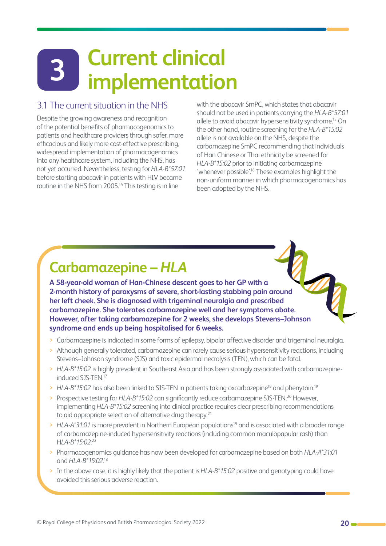# <span id="page-19-0"></span>**Current clinical implementation 3**

#### 3.1 The current situation in the NHS

Despite the growing awareness and recognition of the potential benefits of pharmacogenomics to patients and healthcare providers through safer, more efficacious and likely more cost-effective prescribing, widespread implementation of pharmacogenomics into any healthcare system, including the NHS, has not yet occurred. Nevertheless, testing for *HLA-B\*57:01* before starting abacavir in patients with HIV became routine in the NHS from 2005.<sup>14</sup> This testing is in line

with the abacavir SmPC, which states that abacavir should not be used in patients carrying the *HLA-B\*57:01* allele to avoid abacavir hypersensitivity syndrome.<sup>15</sup> On the other hand, routine screening for the *HLA-B\*15:02* allele is not available on the NHS, despite the carbamazepine SmPC recommending that individuals of Han Chinese or Thai ethnicity be screened for *HLA-B\*15:02* prior to initiating carbamazepine 'whenever possible'.16 These examples highlight the non-uniform manner in which pharmacogenomics has been adopted by the NHS.

## **Carbamazepine –** *HLA*

**A 58-year-old woman of Han-Chinese descent goes to her GP with a 2-month history of paroxysms of severe, short-lasting stabbing pain around her left cheek. She is diagnosed with trigeminal neuralgia and prescribed carbamazepine. She tolerates carbamazepine well and her symptoms abate. However, after taking carbamazepine for 2 weeks, she develops Stevens–Johnson syndrome and ends up being hospitalised for 6 weeks.**

- > Carbamazepine is indicated in some forms of epilepsy, bipolar affective disorder and trigeminal neuralgia.
- > Although generally tolerated, carbamazepine can rarely cause serious hypersensitivity reactions, including Stevens–Johnson syndrome (SJS) and toxic epidermal necrolysis (TEN), which can be fatal.
- > *HLA-B\*15:02* is highly prevalent in Southeast Asia and has been strongly associated with carbamazepineinduced SJS-TEN.17
- > HLA-B\*15:02 has also been linked to SJS-TEN in patients taking oxcarbazepine<sup>18</sup> and phenytoin.<sup>19</sup>
- > Prospective testing for *HLA-B<sup>\*</sup>15:02* can significantly reduce carbamazepine SJS-TEN.<sup>20</sup> However, implementing *HLA-B\*15:02* screening into clinical practice requires clear prescribing recommendations to aid appropriate selection of alternative drug therapy.<sup>21</sup>
- > HLA-A<sup>\*</sup>31:01 is more prevalent in Northern European populations<sup>19</sup> and is associated with a broader range of carbamazepine-induced hypersensitivity reactions (including common maculopapular rash) than H*LA-B\*15:02.*<sup>22</sup>
- > Pharmacogenomics guidance has now been developed for carbamazepine based on both *HLA-A\*31:01* and *HLA-B\*15:02.*<sup>18</sup>
- > In the above case, it is highly likely that the patient is *HLA-B\*15:02* positive and genotyping could have avoided this serious adverse reaction.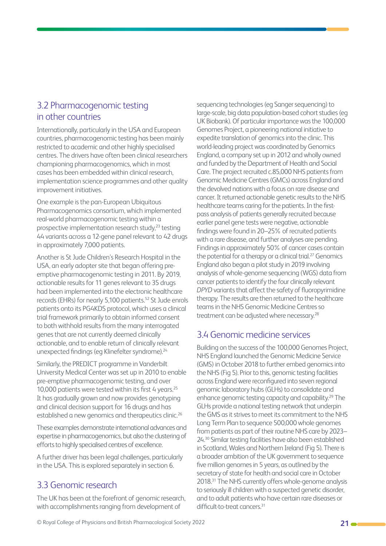#### <span id="page-20-0"></span>3.2 Pharmacogenomic testing in other countries

Internationally, particularly in the USA and European countries, pharmacogenomic testing has been mainly restricted to academic and other highly specialised centres. The drivers have often been clinical researchers championing pharmacogenomics, which in most cases has been embedded within clinical research, implementation science programmes and other quality improvement initiatives.

One example is the pan-European Ubiquitous Pharmacogenomics consortium, which implemented real-world pharmacogenomic testing within a prospective implementation research study, $23$  testing 44 variants across a 12-gene panel relevant to 42 drugs in approximately 7,000 patients.

Another is St Jude Children's Research Hospital in the USA, an early adopter site that began offering preemptive pharmacogenomic testing in 2011. By 2019, actionable results for 11 genes relevant to 35 drugs had been implemented into the electronic healthcare records (EHRs) for nearly 5,100 patients.<sup>52</sup> St Jude enrols patients onto its PG4KDS protocol, which uses a clinical trial framework primarily to obtain informed consent to both withhold results from the many interrogated genes that are not currently deemed clinically actionable, and to enable return of clinically relevant unexpected findings (eg Klinefelter syndrome).<sup>24</sup>

Similarly, the PREDICT programme in Vanderbilt University Medical Center was set up in 2010 to enable pre-emptive pharmacogenomic testing, and over 10,000 patients were tested within its first 4 years.<sup>25</sup> It has gradually grown and now provides genotyping and clinical decision support for 16 drugs and has established a new genomics and therapeutics clinic.<sup>26</sup>

These examples demonstrate international advances and expertise in pharmacogenomics, but also the clustering of efforts to highly specialised centres of excellence.

A further driver has been legal challenges, particularly in the USA. This is explored separately in section 6.

#### 3.3 Genomic research

The UK has been at the forefront of genomic research, with accomplishments ranging from development of

sequencing technologies (eg Sanger sequencing) to large-scale, big data population-based cohort studies (eg UK Biobank). Of particular importance was the 100,000 Genomes Project, a pioneering national initiative to expedite translation of genomics into the clinic. This world-leading project was coordinated by Genomics England, a company set up in 2012 and wholly owned and funded by the Department of Health and Social Care. The project recruited c.85,000 NHS patients from Genomic Medicine Centres (GMCs) across England and the devolved nations with a focus on rare disease and cancer. It returned actionable genetic results to the NHS healthcare teams caring for the patients. In the firstpass analysis of patients generally recruited because earlier panel gene tests were negative, actionable findings were found in 20–25% of recruited patients with a rare disease, and further analyses are pending. Findings in approximately 50% of cancer cases contain the potential for a therapy or a clinical trial.<sup>27</sup> Genomics England also began a pilot study in 2019 involving analysis of whole-genome sequencing (WGS) data from cancer patients to identify the four clinically relevant *DPYD* variants that affect the safety of fluoropyrimidine therapy. The results are then returned to the healthcare teams in the NHS Genomic Medicine Centres so treatment can be adjusted where necessary.<sup>28</sup>

#### 3.4 Genomic medicine services

Building on the success of the 100,000 Genomes Project, NHS England launched the Genomic Medicine Service (GMS) in October 2018 to further embed genomics into the NHS (Fig 5). Prior to this, genomic testing facilities across England were reconfigured into seven regional genomic laboratory hubs (GLHs) to consolidate and enhance genomic testing capacity and capability.<sup>29</sup> The GLHs provide a national testing network that underpin the GMS as it strives to meet its commitment to the NHS Long Term Plan to sequence 500,000 whole genomes from patients as part of their routine NHS care by 2023– 24.30 Similar testing facilities have also been established in Scotland, Wales and Northern Ireland (Fig 5). There is a broader ambition of the UK government to sequence five million genomes in 5 years, as outlined by the secretary of state for health and social care in October 2018.31 The NHS currently offers whole-genome analysis to seriously ill children with a suspected genetic disorder, and to adult patients who have certain rare diseases or difficult-to-treat cancers<sup>31</sup>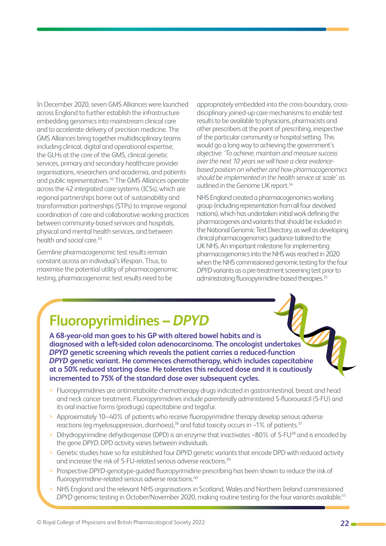In December 2020, seven GMS Alliances were launched across England to further establish the infrastructure embedding genomics into mainstream clinical care and to accelerate delivery of precision medicine. The GMS Alliances bring together multidisciplinary teams including clinical, digital and operational expertise, the GLHs at the core of the GMS, clinical genetic services, primary and secondary healthcare provider organisations, researchers and academia, and patients and public representatives.32 The GMS Alliances operate across the 42 integrated care systems (ICSs), which are regional partnerships borne out of sustainability and transformation partnerships (STPs) to improve regional coordination of care and collaborative working practices between community-based services and hospitals, physical and mental health services, and between health and social care.<sup>33</sup>

Germline pharmacogenomic test results remain constant across an individual's lifespan. Thus, to maximise the potential utility of pharmacogenomic testing, pharmacogenomic test results need to be

appropriately embedded into the cross-boundary, crossdisciplinary joined-up care mechanisms to enable test results to be available to physicians, pharmacists and other prescribers at the point of prescribing, irrespective of the particular community or hospital setting. This would go a long way to achieving the government's objective: *'To achieve, maintain and measure success over the next 10 years we will have a clear evidencebased position on whether and how pharmacogenomics should be implemented in the health service at scale'* as outlined in the Genome UK report.<sup>34</sup>

NHS England created a pharmacogenomics working group (including representation from all four devolved nations), which has undertaken initial work defining the pharmacogenes and variants that should be included in the National Genomic Test Directory, as well as developing clinical pharmacogenomics guidance tailored to the UK NHS. An important milestone for implementing pharmacogenomics into the NHS was reached in 2020 when the NHS commissioned genomic testing for the four *DPYD* variants as a pre-treatment screening test prior to administrating fluoropyrimidine-based therapies.<sup>35</sup>

# **Fluoropyrimidines –** *DPYD*

**A 68-year-old man goes to his GP with altered bowel habits and is diagnosed with a left-sided colon adenocarcinoma. The oncologist undertakes**  *DPYD* **genetic screening which reveals the patient carries a reduced-function**  *DPYD* **genetic variant. He commences chemotherapy, which includes capecitabine at a 50% reduced starting dose. He tolerates this reduced dose and it is cautiously incremented to 75% of the standard dose over subsequent cycles.**

- > Fluoropyrimidines are antimetabolite chemotherapy drugs indicated in gastrointestinal, breast and head and neck cancer treatment. Fluoropyrimidines include parenterally administered 5-fluorouracil (5-FU) and its oral inactive forms (prodrugs) capecitabine and tegafur.
- > Approximately 10–40% of patients who receive fluoropyrimidine therapy develop serious adverse reactions (eg myelosuppression, diarrhoea),<sup>36</sup> and fatal toxicity occurs in ~1% of patients.<sup>37</sup>
- Dihydropyrimidine dehydrogenase (DPD) is an enzyme that inactivates ~80% of 5-FU<sup>38</sup> and is encoded by the gene *DPYD*. DPD activity varies between individuals.
- > Genetic studies have so far established four *DPYD* genetic variants that encode DPD with reduced activity and increase the risk of 5-FU-related serious adverse reactions.<sup>39</sup>
- > Prospective *DPYD*-genotype-guided fluoropyrimidine prescribing has been shown to reduce the risk of fluoropyrimidine-related serious adverse reactions.<sup>40</sup>
- > NHS England and the relevant NHS organisations in Scotland, Wales and Northern Ireland commissioned *DPYD* genomic testing in October/November 2020, making routine testing for the four variants available.<sup>41</sup>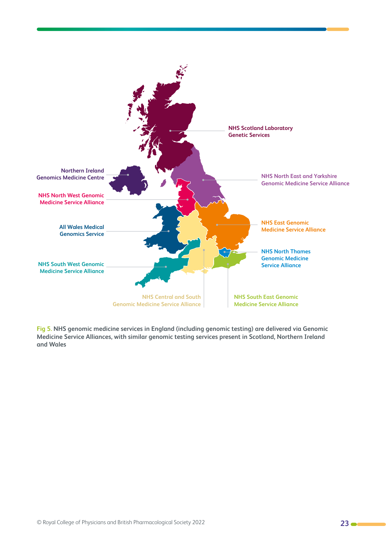

**Fig 5. NHS genomic medicine services in England (including genomic testing) are delivered via Genomic Medicine Service Alliances, with similar genomic testing services present in Scotland, Northern Ireland and Wales**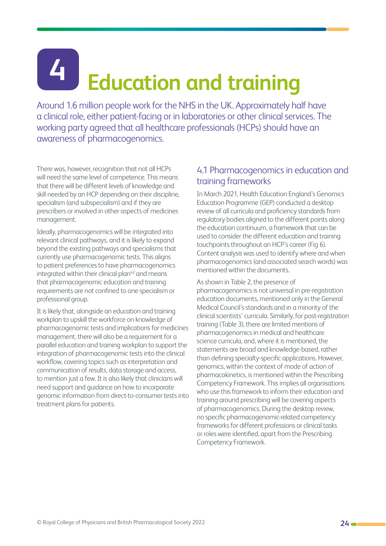# <span id="page-23-0"></span>**Education and training 4**

Around 1.6 million people work for the NHS in the UK. Approximately half have a clinical role, either patient-facing or in laboratories or other clinical services. The working party agreed that all healthcare professionals (HCPs) should have an awareness of pharmacogenomics.

There was, however, recognition that not all HCPs will need the same level of competence. This means that there will be different levels of knowledge and skill needed by an HCP depending on their discipline, specialism (and subspecialism) and if they are prescribers or involved in other aspects of medicines management.

Ideally, pharmacogenomics will be integrated into relevant clinical pathways, and it is likely to expand beyond the existing pathways and specialisms that currently use pharmacogenomic tests. This aligns to patient preferences to have pharmacogenomics integrated within their clinical plan $42$  and means that pharmacogenomic education and training requirements are not confined to one specialism or professional group.

It is likely that, alongside an education and training workplan to upskill the workforce on knowledge of pharmacogenomic tests and implications for medicines management, there will also be a requirement for a parallel education and training workplan to support the integration of pharmacogenomic tests into the clinical workflow, covering topics such as interpretation and communication of results, data storage and access, to mention just a few. It is also likely that clinicians will need support and guidance on how to incorporate genomic information from direct-to-consumer tests into treatment plans for patients.

#### 4.1 Pharmacogenomics in education and training frameworks

In March 2021, Health Education England's Genomics Education Programme (GEP) conducted a desktop review of all curricula and proficiency standards from regulatory bodies aligned to the different points along the education continuum, a framework that can be used to consider the different education and training touchpoints throughout an HCP's career (Fig 6). Content analysis was used to identify where and when pharmacogenomics (and associated search words) was mentioned within the documents.

#### As shown in Table 2, the presence of

pharmacogenomics is not universal in pre-registration education documents, mentioned only in the General Medical Council's standards and in a minority of the clinical scientists' curricula. Similarly, for post-registration training (Table 3), there are limited mentions of pharmacogenomics in medical and healthcare science curricula, and, where it is mentioned, the statements are broad and knowledge-based, rather than defining specialty-specific applications. However, genomics, within the context of mode of action of pharmacokinetics, is mentioned within the Prescribing Competency Framework. This implies all organisations who use this framework to inform their education and training around prescribing will be covering aspects of pharmacogenomics. During the desktop review, no specific pharmacogenomic-related competency frameworks for different professions or clinical tasks or roles were identified, apart from the Prescribing Competency Framework.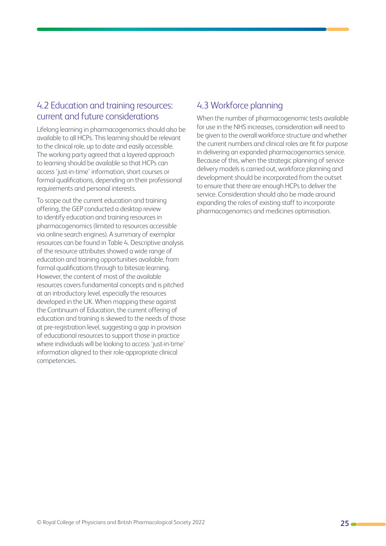#### <span id="page-24-0"></span>4.2 Education and training resources: current and future considerations

Lifelong learning in pharmacogenomics should also be available to all HCPs. This learning should be relevant to the clinical role, up to date and easily accessible. The working party agreed that a layered approach to learning should be available so that HCPs can access 'just-in-time' information, short courses or formal qualifications, depending on their professional requirements and personal interests.

To scope out the current education and training offering, the GEP conducted a desktop review to identify education and training resources in pharmacogenomics (limited to resources accessible via online search engines). A summary of exemplar resources can be found in Table 4. Descriptive analysis of the resource attributes showed a wide range of education and training opportunities available, from formal qualifications through to bitesize learning. However, the content of most of the available resources covers fundamental concepts and is pitched at an introductory level, especially the resources developed in the UK. When mapping these against the Continuum of Education, the current offering of education and training is skewed to the needs of those at pre-registration level, suggesting a gap in provision of educational resources to support those in practice where individuals will be looking to access 'just-in-time' information aligned to their role-appropriate clinical competencies.

#### 4.3 Workforce planning

When the number of pharmacogenomic tests available for use in the NHS increases, consideration will need to be given to the overall workforce structure and whether the current numbers and clinical roles are fit for purpose in delivering an expanded pharmacogenomics service. Because of this, when the strategic planning of service delivery models is carried out, workforce planning and development should be incorporated from the outset to ensure that there are enough HCPs to deliver the service. Consideration should also be made around expanding the roles of existing staff to incorporate pharmacogenomics and medicines optimisation.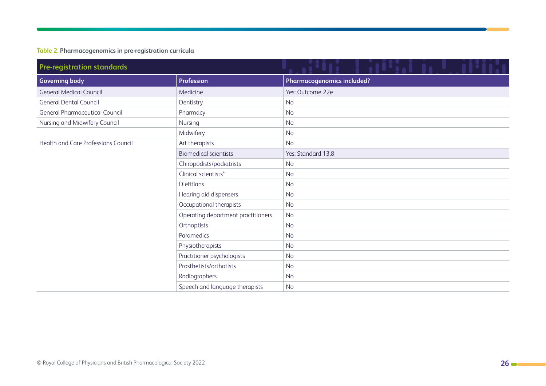#### **Table 2. Pharmacogenomics in pre-registration curricula**

| <b>Pre-registration standards</b>     |                                    |                                   |  |
|---------------------------------------|------------------------------------|-----------------------------------|--|
| <b>Governing body</b>                 | <b>Profession</b>                  | <b>Pharmacogenomics included?</b> |  |
| <b>General Medical Council</b>        | Medicine                           | Yes: Outcome 22e                  |  |
| <b>General Dental Council</b>         | Dentistry                          | <b>No</b>                         |  |
| <b>General Pharmaceutical Council</b> | Pharmacy                           | <b>No</b>                         |  |
| Nursing and Midwifery Council         | Nursing                            | <b>No</b>                         |  |
|                                       | Midwifery                          | <b>No</b>                         |  |
| Health and Care Professions Council   | Art therapists                     | <b>No</b>                         |  |
|                                       | <b>Biomedical scientists</b>       | Yes: Standard 13.8                |  |
|                                       | Chiropodists/podiatrists           | <b>No</b>                         |  |
|                                       | Clinical scientists*               | <b>No</b>                         |  |
|                                       | <b>Dietitians</b>                  | <b>No</b>                         |  |
|                                       | Hearing aid dispensers             | <b>No</b>                         |  |
|                                       | Occupational therapists            | <b>No</b>                         |  |
|                                       | Operating department practitioners | <b>No</b>                         |  |
|                                       | Orthoptists                        | <b>No</b>                         |  |
|                                       | Paramedics                         | <b>No</b>                         |  |
|                                       | Physiotherapists                   | <b>No</b>                         |  |
|                                       | Practitioner psychologists         | <b>No</b>                         |  |
|                                       | Prosthetists/orthotists            | <b>No</b>                         |  |
|                                       | Radiographers                      | <b>No</b>                         |  |
|                                       | Speech and language therapists     | <b>No</b>                         |  |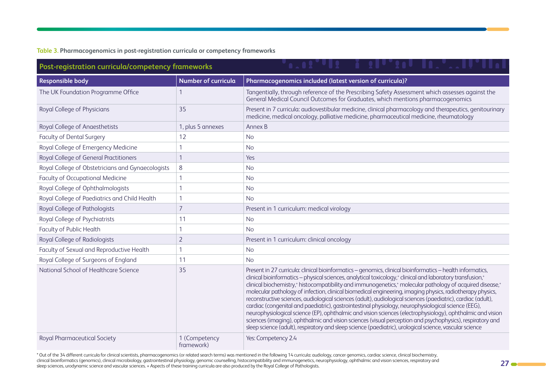#### **Table 3. Pharmacogenomics in post-registration curricula or competency frameworks**

| Post-registration curricula/competency frameworks |                             |                                                                                                                                                                                                                                                                                                                                                                                                                                                                                                                                                                                                                                                                                                                                                                                                                                                                                                                                                                                                                                                                             |  |
|---------------------------------------------------|-----------------------------|-----------------------------------------------------------------------------------------------------------------------------------------------------------------------------------------------------------------------------------------------------------------------------------------------------------------------------------------------------------------------------------------------------------------------------------------------------------------------------------------------------------------------------------------------------------------------------------------------------------------------------------------------------------------------------------------------------------------------------------------------------------------------------------------------------------------------------------------------------------------------------------------------------------------------------------------------------------------------------------------------------------------------------------------------------------------------------|--|
| <b>Responsible body</b>                           | <b>Number of curricula</b>  | Pharmacogenomics included (latest version of curricula)?                                                                                                                                                                                                                                                                                                                                                                                                                                                                                                                                                                                                                                                                                                                                                                                                                                                                                                                                                                                                                    |  |
| The UK Foundation Programme Office                |                             | Tangentially, through reference of the Prescribing Safety Assessment which assesses against the<br>General Medical Council Outcomes for Graduates, which mentions pharmacogenomics                                                                                                                                                                                                                                                                                                                                                                                                                                                                                                                                                                                                                                                                                                                                                                                                                                                                                          |  |
| Royal College of Physicians                       | 35                          | Present in 7 curricula: audiovestibular medicine, clinical pharmacology and therapeutics, genitourinary<br>medicine, medical oncology, palliative medicine, pharmaceutical medicine, rheumatology                                                                                                                                                                                                                                                                                                                                                                                                                                                                                                                                                                                                                                                                                                                                                                                                                                                                           |  |
| Royal College of Anaesthetists                    | 1, plus 5 annexes           | Annex B                                                                                                                                                                                                                                                                                                                                                                                                                                                                                                                                                                                                                                                                                                                                                                                                                                                                                                                                                                                                                                                                     |  |
| <b>Faculty of Dental Surgery</b>                  | 12                          | <b>No</b>                                                                                                                                                                                                                                                                                                                                                                                                                                                                                                                                                                                                                                                                                                                                                                                                                                                                                                                                                                                                                                                                   |  |
| Royal College of Emergency Medicine               | 1                           | <b>No</b>                                                                                                                                                                                                                                                                                                                                                                                                                                                                                                                                                                                                                                                                                                                                                                                                                                                                                                                                                                                                                                                                   |  |
| Royal College of General Practitioners            |                             | Yes                                                                                                                                                                                                                                                                                                                                                                                                                                                                                                                                                                                                                                                                                                                                                                                                                                                                                                                                                                                                                                                                         |  |
| Royal College of Obstetricians and Gynaecologists | 8                           | <b>No</b>                                                                                                                                                                                                                                                                                                                                                                                                                                                                                                                                                                                                                                                                                                                                                                                                                                                                                                                                                                                                                                                                   |  |
| <b>Faculty of Occupational Medicine</b>           | $\mathbf{1}$                | <b>No</b>                                                                                                                                                                                                                                                                                                                                                                                                                                                                                                                                                                                                                                                                                                                                                                                                                                                                                                                                                                                                                                                                   |  |
| Royal College of Ophthalmologists                 | 1                           | <b>No</b>                                                                                                                                                                                                                                                                                                                                                                                                                                                                                                                                                                                                                                                                                                                                                                                                                                                                                                                                                                                                                                                                   |  |
| Royal College of Paediatrics and Child Health     | $\mathbf{1}$                | <b>No</b>                                                                                                                                                                                                                                                                                                                                                                                                                                                                                                                                                                                                                                                                                                                                                                                                                                                                                                                                                                                                                                                                   |  |
| Royal College of Pathologists                     | $\overline{7}$              | Present in 1 curriculum: medical virology                                                                                                                                                                                                                                                                                                                                                                                                                                                                                                                                                                                                                                                                                                                                                                                                                                                                                                                                                                                                                                   |  |
| Royal College of Psychiatrists                    | 11                          | <b>No</b>                                                                                                                                                                                                                                                                                                                                                                                                                                                                                                                                                                                                                                                                                                                                                                                                                                                                                                                                                                                                                                                                   |  |
| Faculty of Public Health                          | $\mathbf{1}$                | <b>No</b>                                                                                                                                                                                                                                                                                                                                                                                                                                                                                                                                                                                                                                                                                                                                                                                                                                                                                                                                                                                                                                                                   |  |
| Royal College of Radiologists                     | $\overline{2}$              | Present in 1 curriculum: clinical oncology                                                                                                                                                                                                                                                                                                                                                                                                                                                                                                                                                                                                                                                                                                                                                                                                                                                                                                                                                                                                                                  |  |
| Faculty of Sexual and Reproductive Health         | 1                           | <b>No</b>                                                                                                                                                                                                                                                                                                                                                                                                                                                                                                                                                                                                                                                                                                                                                                                                                                                                                                                                                                                                                                                                   |  |
| Royal College of Surgeons of England              | 11                          | <b>No</b>                                                                                                                                                                                                                                                                                                                                                                                                                                                                                                                                                                                                                                                                                                                                                                                                                                                                                                                                                                                                                                                                   |  |
| National School of Healthcare Science             | 35                          | Present in 27 curricula: clinical bioinformatics - genomics, clinical bioinformatics - health informatics,<br>clinical bioinformatics - physical sciences, analytical toxicology, <sup>+</sup> clinical and laboratory transfusion, <sup>+</sup><br>clinical biochemistry, <sup>+</sup> histocompatibility and immunogenetics, <sup>+</sup> molecular pathology of acquired disease, <sup>+</sup><br>molecular pathology of infection, clinical biomedical engineering, imaging physics, radiotherapy physics,<br>reconstructive sciences, audiological sciences (adult), audiological sciences (paediatric), cardiac (adult),<br>cardiac (congenital and paediatric), gastrointestinal physiology, neurophysiological science (EEG),<br>neurophysiological science (EP), ophthalmic and vision sciences (electrophysiology), ophthalmic and vision<br>sciences (imaging), ophthalmic and vision sciences (visual perception and psychophysics), respiratory and<br>sleep science (adult), respiratory and sleep science (paediatric), urological science, vascular science |  |
| <b>Royal Pharmaceutical Society</b>               | 1 (Competency<br>framework) | Yes: Competency 2.4                                                                                                                                                                                                                                                                                                                                                                                                                                                                                                                                                                                                                                                                                                                                                                                                                                                                                                                                                                                                                                                         |  |

\* Out of the 34 different curricula for clinical scientists, pharmacogenomics (or related search terms) was mentioned in the following 14 curricula: audiology, cancer genomics, cardiac science, clinical biochemistry, clinical bioinformatics (genomics), clinical microbiology, gastrointestinal physiology, genomic counselling, histocompatibility and immunogenetics, neurophysiology, ophthalmic and vision sciences, respiratory and sleep sciences, urodynamic science and vascular sciences. + Aspects of these training curricula are also produced by the Royal College of Pathologists.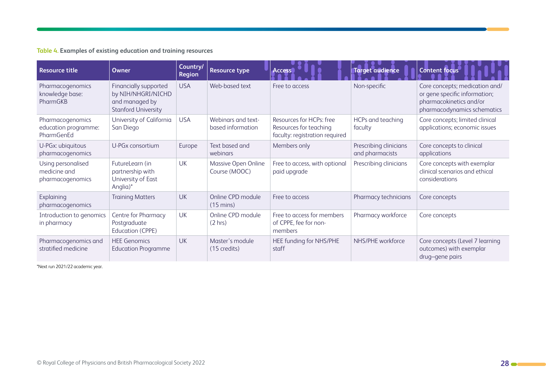**Table 4. Examples of existing education and training resources**

| <b>Resource title</b>                                  | <b>Owner</b>                                                                                | Country/<br><b>Region</b> | <b>Resource type</b>                     | <b>Access</b>                                                                        | <b>Target audience</b>                    | <b>Content focus</b>                                                                                                      |
|--------------------------------------------------------|---------------------------------------------------------------------------------------------|---------------------------|------------------------------------------|--------------------------------------------------------------------------------------|-------------------------------------------|---------------------------------------------------------------------------------------------------------------------------|
| Pharmacogenomics<br>knowledge base:<br>PharmGKB        | Financially supported<br>by NIH/NHGRI/NICHD<br>and managed by<br><b>Stanford University</b> | <b>USA</b>                | Web-based text                           | Free to access                                                                       | Non-specific                              | Core concepts; medication and/<br>or gene specific information;<br>pharmacokinetics and/or<br>pharmacodynamics schematics |
| Pharmacogenomics<br>education programme:<br>PharmGenEd | University of California<br>San Diego                                                       | <b>USA</b>                | Webinars and text-<br>based information  | Resources for HCPs: free<br>Resources for teaching<br>faculty: registration required | HCPs and teaching<br>faculty              | Core concepts; limited clinical<br>applications; economic issues                                                          |
| U-PGx: ubiquitous<br>pharmacogenomics                  | U-PGx consortium                                                                            | Europe                    | Text based and<br>webinars               | Members only                                                                         | Prescribing clinicians<br>and pharmacists | Core concepts to clinical<br>applications                                                                                 |
| Using personalised<br>medicine and<br>pharmacogenomics | FutureLearn (in<br>partnership with<br>University of East<br>Anglia)*                       | <b>UK</b>                 | Massive Open Online<br>Course (MOOC)     | Free to access, with optional<br>paid upgrade                                        | Prescribing clinicians                    | Core concepts with exemplar<br>clinical scenarios and ethical<br>considerations                                           |
| Explaining<br>pharmacogenomics                         | <b>Training Matters</b>                                                                     | <b>UK</b>                 | Online CPD module<br>$(15 \text{ mins})$ | Free to access                                                                       | Pharmacy technicians                      | Core concepts                                                                                                             |
| Introduction to genomics<br>in pharmacy                | Centre for Pharmacy<br>Postgraduate<br><b>Education (CPPE)</b>                              | UK                        | Online CPD module<br>(2 hrs)             | Free to access for members<br>of CPPE, fee for non-<br>members                       | Pharmacy workforce                        | Core concepts                                                                                                             |
| Pharmacogenomics and<br>stratified medicine            | <b>HEE Genomics</b><br><b>Education Programme</b>                                           | <b>UK</b>                 | Master's module<br>(15 credits)          | HEE funding for NHS/PHE<br>staff                                                     | NHS/PHE workforce                         | Core concepts (Level 7 learning<br>outcomes) with exemplar<br>drug-gene pairs                                             |

\*Next run 2021/22 academic year.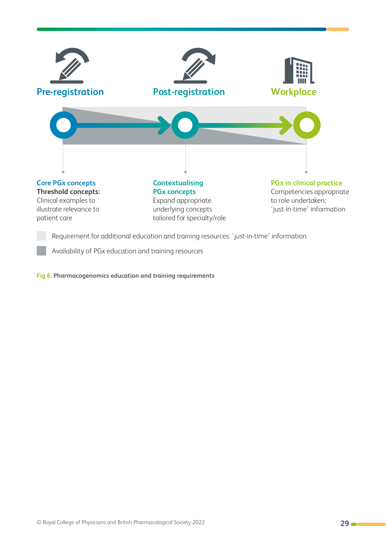

Requirement for additional education and training resources: 'just-in-time' information

Availability of PGx education and training resources

**Fig 6. Pharmacogenomics education and training requirements**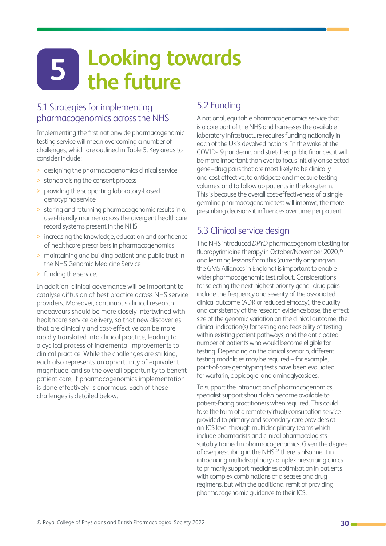## <span id="page-29-1"></span><span id="page-29-0"></span>**Looking towards the future 5**

#### 5.1 Strategies for implementing pharmacogenomics across the NHS

Implementing the first nationwide pharmacogenomic testing service will mean overcoming a number of challenges, which are outlined in Table 5. Key areas to consider include:

- > designing the pharmacogenomics clinical service
- > standardising the consent process
- > providing the supporting laboratory-based genotyping service
- > storing and returning pharmacogenomic results in a user-friendly manner across the divergent healthcare record systems present in the NHS
- > increasing the knowledge, education and confidence of healthcare prescribers in pharmacogenomics
- > maintaining and building patient and public trust in the NHS Genomic Medicine Service
- > funding the service.

In addition, clinical governance will be important to catalyse diffusion of best practice across NHS service providers. Moreover, continuous clinical research endeavours should be more closely intertwined with healthcare service delivery, so that new discoveries that are clinically and cost-effective can be more rapidly translated into clinical practice, leading to a cyclical process of incremental improvements to clinical practice. While the challenges are striking, each also represents an opportunity of equivalent magnitude, and so the overall opportunity to benefit patient care, if pharmacogenomics implementation is done effectively, is enormous. Each of these challenges is detailed below.

#### 5.2 Funding

A national, equitable pharmacogenomics service that is a core part of the NHS and harnesses the available laboratory infrastructure requires funding nationally in each of the UK's devolved nations. In the wake of the COVID-19 pandemic and stretched public finances, it will be more important than ever to focus initially on selected gene–drug pairs that are most likely to be clinically and cost-effective, to anticipate and measure testing volumes, and to follow up patients in the long term. This is because the overall cost-effectiveness of a single germline pharmacogenomic test will improve, the more prescribing decisions it influences over time per patient.

#### 5.3 Clinical service design

The NHS introduced *DPYD* pharmacogenomic testing for fluoropyrimidine therapy in October/November 2020,<sup>35</sup> and learning lessons from this (currently ongoing via the GMS Alliances in England) is important to enable wider pharmacogenomic test rollout. Considerations for selecting the next highest priority gene–drug pairs include the frequency and severity of the associated clinical outcome (ADR or reduced efficacy), the quality and consistency of the research evidence base, the effect size of the genomic variation on the clinical outcome, the clinical indication(s) for testing and feasibility of testing within existing patient pathways, and the anticipated number of patients who would become eligible for testing. Depending on the clinical scenario, different testing modalities may be required – for example, point-of-care genotyping tests have been evaluated for warfarin, clopidogrel and aminoglycosides.

To support the introduction of pharmacogenomics, specialist support should also become available to patient-facing practitioners when required. This could take the form of a remote (virtual) consultation service provided to primary and secondary care providers at an ICS level through multidisciplinary teams which include pharmacists and clinical pharmacologists suitably trained in pharmacogenomics. Given the degree of overprescribing in the NHS,<sup>43</sup> there is also merit in introducing multidisciplinary complex prescribing clinics to primarily support medicines optimisation in patients with complex combinations of diseases and drug regimens, but with the additional remit of providing pharmacogenomic guidance to their ICS.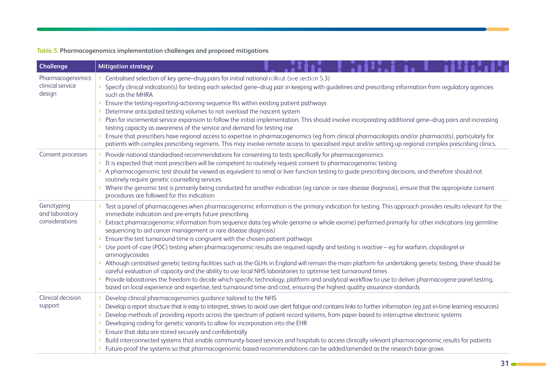#### **Table 5. Pharmacogenomics implementation challenges and proposed mitigations**

| <b>Challenge</b>                               | <b>Mitigation strategy</b>                                                                                                                                                                                                                                                                                                                                                                                                                                                                                                                                                                                                                       |                                                                                                                                                                                                                                                                                                                                                                                                                                                                                                                                                                                                                                                                                                                                                                                    |  |
|------------------------------------------------|--------------------------------------------------------------------------------------------------------------------------------------------------------------------------------------------------------------------------------------------------------------------------------------------------------------------------------------------------------------------------------------------------------------------------------------------------------------------------------------------------------------------------------------------------------------------------------------------------------------------------------------------------|------------------------------------------------------------------------------------------------------------------------------------------------------------------------------------------------------------------------------------------------------------------------------------------------------------------------------------------------------------------------------------------------------------------------------------------------------------------------------------------------------------------------------------------------------------------------------------------------------------------------------------------------------------------------------------------------------------------------------------------------------------------------------------|--|
| Pharmacogenomics<br>clinical service<br>design | Centralised selection of key gene-drug pairs for initial national rollout (see section 5.3)<br>such as the MHRA<br>> Ensure the testing-reporting-actioning sequence fits within existing patient pathways<br>> Determine anticipated testing volumes to not overload the nascent system<br>testing capacity as awareness of the service and demand for testing rise                                                                                                                                                                                                                                                                             | Specify clinical indication(s) for testing each selected gene-drug pair in keeping with guidelines and prescribing information from regulatory agencies<br>> Plan for incremental service expansion to follow the initial implementation. This should involve incorporating additional gene-drug pairs and increasing<br>Ensure that prescribers have regional access to expertise in pharmacogenomics (eg from clinical pharmacologists and/or pharmacists), particularly for<br>patients with complex prescribing regimens. This may involve remote access to specialised input and/or setting up regional complex prescribing clinics.                                                                                                                                          |  |
| Consent processes                              | > Provide national standardised recommendations for consenting to tests specifically for pharmacogenomics<br>> It is expected that most prescribers will be competent to routinely request consent to pharmacogenomic testing<br>> A pharmacogenomic test should be viewed as equivalent to renal or liver function testing to guide prescribing decisions, and therefore should not<br>routinely require genetic counselling services<br>> Where the genomic test is primarily being conducted for another indication (eg cancer or rare disease diagnosis), ensure that the appropriate consent<br>procedures are followed for this indication |                                                                                                                                                                                                                                                                                                                                                                                                                                                                                                                                                                                                                                                                                                                                                                                    |  |
| Genotyping<br>and laboratory<br>considerations | immediate indication and pre-empts future prescribing<br>sequencing to aid cancer management or rare disease diagnosis)<br>Ensure the test turnaround time is congruent with the chosen patient pathways<br>aminoglycosides<br>careful evaluation of capacity and the ability to use local NHS laboratories to optimise test turnaround times<br>based on local experience and expertise, test turnaround time and cost, ensuring the highest quality assurance standards                                                                                                                                                                        | Test a panel of pharmacogenes when pharmacogenomic information is the primary indication for testing. This approach provides results relevant for the<br>Extract pharmacogenomic information from sequence data (eg whole genome or whole exome) performed primarily for other indications (eg germline<br>> Use point-of-care (POC) testing when pharmacogenomic results are required rapidly and testing is reactive – eg for warfarin, clopidogrel or<br>> Although centralised genetic testing facilities such as the GLHs in England will remain the main platform for undertaking genetic testing, there should be<br>> Provide laboratories the freedom to decide which specific technology, platform and analytical workflow to use to deliver pharmacogene panel testing, |  |
| Clinical decision<br>support                   | > Develop clinical pharmacogenomics quidance tailored to the NHS<br>> Developing coding for genetic variants to allow for incorporation into the EHR<br>> Ensure that data are stored securely and confidentially                                                                                                                                                                                                                                                                                                                                                                                                                                | > Develop a report structure that is easy to interpret, strives to avoid user alert fatigue and contains links to further information (eg just-in-time learning resources)<br>> Develop methods of providing reports across the spectrum of patient record systems, from paper-based to interruptive electronic systems<br>Build interconnected systems that enable community-based services and hospitals to access clinically relevant pharmacogenomic results for patients<br>> Future-proof the systems so that pharmacogenomic-based recommendations can be added/amended as the research base grows                                                                                                                                                                          |  |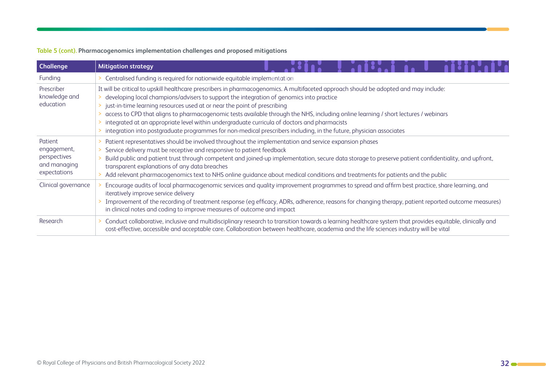#### **Table 5 (cont). Pharmacogenomics implementation challenges and proposed mitigations**

| <b>Challenge</b>                                                       | <b>Mitigation strategy</b>                                                                                                                                                                                                                                                                                                                                                                                                                                                                                                                                                                                                                                                  |
|------------------------------------------------------------------------|-----------------------------------------------------------------------------------------------------------------------------------------------------------------------------------------------------------------------------------------------------------------------------------------------------------------------------------------------------------------------------------------------------------------------------------------------------------------------------------------------------------------------------------------------------------------------------------------------------------------------------------------------------------------------------|
| Funding                                                                | Centralised funding is required for nationwide equitable implementation                                                                                                                                                                                                                                                                                                                                                                                                                                                                                                                                                                                                     |
| Prescriber<br>knowledge and<br>education                               | It will be critical to upskill healthcare prescribers in pharmacogenomics. A multifaceted approach should be adopted and may include:<br>developing local champions/advisers to support the integration of genomics into practice<br>just-in-time learning resources used at or near the point of prescribing<br>access to CPD that aligns to pharmacogenomic tests available through the NHS, including online learning / short lectures / webinars<br>integrated at an appropriate level within undergraduate curricula of doctors and pharmacists<br>integration into postgraduate programmes for non-medical prescribers including, in the future, physician associates |
| Patient<br>engagement,<br>perspectives<br>and managing<br>expectations | Patient representatives should be involved throughout the implementation and service expansion phases<br>Service delivery must be receptive and responsive to patient feedback<br>Build public and patient trust through competent and joined-up implementation, secure data storage to preserve patient confidentiality, and upfront,<br>transparent explanations of any data breaches<br>Add relevant pharmacogenomics text to NHS online guidance about medical conditions and treatments for patients and the public                                                                                                                                                    |
| Clinical governance                                                    | Encourage audits of local pharmacogenomic services and quality improvement programmes to spread and affirm best practice, share learning, and<br>iteratively improve service delivery<br>Improvement of the recording of treatment response (eg efficacy, ADRs, adherence, reasons for changing therapy, patient reported outcome measures)<br>in clinical notes and coding to improve measures of outcome and impact                                                                                                                                                                                                                                                       |
| Research                                                               | Conduct collaborative, inclusive and multidisciplinary research to transition towards a learning healthcare system that provides equitable, clinically and<br>cost-effective, accessible and acceptable care. Collaboration between healthcare, academia and the life sciences industry will be vital                                                                                                                                                                                                                                                                                                                                                                       |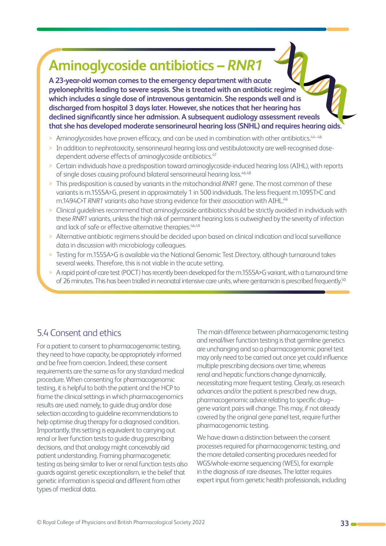## <span id="page-32-0"></span>**Aminoglycoside antibiotics –** *RNR1*

**A 23-year-old woman comes to the emergency department with acute pyelonephritis leading to severe sepsis. She is treated with an antibiotic regime which includes a single dose of intravenous gentamicin. She responds well and is discharged from hospital 3 days later. However, she notices that her hearing has declined significantly since her admission. A subsequent audiology assessment reveals that she has developed moderate sensorineural hearing loss (SNHL) and requires hearing aids.**

- > Aminoglycosides have proven efficacy, and can be used in combination with other antibiotics.<sup>44-46</sup>
- > In addition to nephrotoxicity, sensorineural hearing loss and vestibulotoxicity are well-recognised dosedependent adverse effects of aminoglycoside antibiotics.<sup>47</sup>
- > Certain individuals have a predisposition toward aminoglycoside-induced hearing loss (AIHL), with reports of single doses causing profound bilateral sensorineural hearing loss.<sup>46,48</sup>
- > This predisposition is caused by variants in the mitochondrial *RNR1* gene. The most common of these variants is m.1555A>G, present in approximately 1 in 500 individuals. The less frequent m.1095T>C and m.1494C>T RNR1 variants also have strong evidence for their association with AIHL.<sup>46</sup>
- > Clinical guidelines recommend that aminoglycoside antibiotics should be strictly avoided in individuals with these *RNR1* variants, unless the high risk of permanent hearing loss is outweighed by the severity of infection and lack of safe or effective alternative therapies.<sup>46,49</sup>
- > Alternative antibiotic regimens should be decided upon based on clinical indication and local surveillance data in discussion with microbiology colleagues.
- > Testing for m.1555A>G is available via the National Genomic Test Directory, although turnaround takes several weeks. Therefore, this is not viable in the acute setting.
- > A rapid point-of-care test (POCT) has recently been developed for the m.1555A>G variant, with a turnaround time of 26 minutes. This has been trialled in neonatal intensive care units, where gentamicin is prescribed frequently.<sup>50</sup>

#### 5.4 Consent and ethics

For a patient to consent to pharmacogenomic testing, they need to have capacity, be appropriately informed and be free from coercion. Indeed, these consent requirements are the same as for any standard medical procedure. When consenting for pharmacogenomic testing, it is helpful to both the patient and the HCP to frame the clinical settings in which pharmacogenomics results are used: namely, to guide drug and/or dose selection according to guideline recommendations to help optimise drug therapy for a diagnosed condition. Importantly, this setting is equivalent to carrying out renal or liver function tests to guide drug prescribing decisions, and that analogy might conceivably aid patient understanding. Framing pharmacogenetic testing as being similar to liver or renal function tests also guards against genetic exceptionalism, ie the belief that genetic information is special and different from other types of medical data.

The main difference between pharmacogenomic testing and renal/liver function testing is that germline genetics are unchanging and so a pharmacogenomic panel test may only need to be carried out once yet could influence multiple prescribing decisions over time, whereas renal and hepatic functions change dynamically, necessitating more frequent testing. Clearly, as research advances and/or the patient is prescribed new drugs, pharmacogenomic advice relating to specific drug– gene variant pairs will change. This may, if not already covered by the original gene panel test, require further pharmacogenomic testing.

We have drawn a distinction between the consent processes required for pharmacogenomic testing, and the more detailed consenting procedures needed for WGS/whole-exome sequencing (WES), for example in the diagnosis of rare diseases. The latter requires expert input from genetic health professionals, including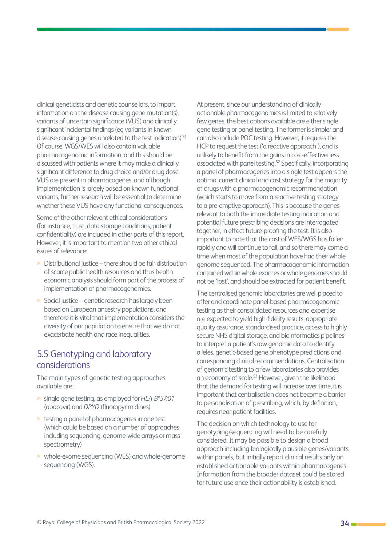<span id="page-33-0"></span>clinical geneticists and genetic counsellors, to impart information on the disease causing gene mutation(s). variants of uncertain significance (VUS) and clinically significant incidental findings (eg variants in known disease-causing genes unrelated to the test indication).<sup>51</sup> Of course, WGS/WES will also contain valuable pharmacogenomic information, and this should be discussed with patients where it may make a clinically significant difference to drug choice and/or drug dose. VUS are present in pharmacogenes, and although implementation is largely based on known functional variants, further research will be essential to determine whether these VUS have any functional consequences.

Some of the other relevant ethical considerations (for instance, trust, data storage conditions, patient confidentiality) are included in other parts of this report. However, it is important to mention two other ethical issues of relevance:

- > Distributional justice there should be fair distribution of scarce public health resources and thus health economic analysis should form part of the process of implementation of pharmacogenomics.
- > Social justice genetic research has largely been based on European ancestry populations, and therefore it is vital that implementation considers the diversity of our population to ensure that we do not exacerbate health and race inequalities.

#### 5.5 Genotyping and laboratory considerations

The main types of genetic testing approaches available are:

- > single gene testing, as employed for *HLA-B\*57:01*  (abacavir) and *DPYD* (fluoropyrimidines)
- > testing a panel of pharmacogenes in one test (which could be based on a number of approaches including sequencing, genome-wide arrays or mass spectrometry)
- > whole-exome sequencing (WES) and whole-genome sequencing (WGS).

At present, since our understanding of clinically actionable pharmacogenomics is limited to relatively few genes, the best options available are either single gene testing or panel testing. The former is simpler and can also include POC testing. However, it requires the HCP to request the test ('a reactive approach'), and is unlikely to benefit from the gains in cost-effectiveness associated with panel testing.52 Specifically, incorporating a panel of pharmacogenes into a single test appears the optimal current clinical and cost strategy for the majority of drugs with a pharmacogenomic recommendation (which starts to move from a reactive testing strategy to a pre-emptive approach). This is because the genes relevant to both the immediate testing indication and potential future prescribing decisions are interrogated together, in effect future-proofing the test. It is also important to note that the cost of WES/WGS has fallen rapidly and will continue to fall, and so there may come a time when most of the population have had their whole genome sequenced. The pharmacogenomic information contained within whole exomes or whole genomes should not be 'lost', and should be extracted for patient benefit.

The centralised genomic laboratories are well placed to offer and coordinate panel-based pharmacogenomic testing as their consolidated resources and expertise are expected to yield high-fidelity results, appropriate quality assurance, standardised practice, access to highly secure NHS digital storage, and bioinformatics pipelines to interpret a patient's raw genomic data to identify alleles, genetic-based gene phenotype predictions and corresponding clinical recommendations. Centralisation of genomic testing to a few laboratories also provides an economy of scale.<sup>53</sup> However, given the likelihood that the demand for testing will increase over time, it is important that centralisation does not become a barrier to personalisation of prescribing, which, by definition, requires near-patient facilities.

The decision on which technology to use for genotyping/sequencing will need to be carefully considered. It may be possible to design a broad approach including biologically plausible genes/variants within panels, but initially report clinical results only on established actionable variants within pharmacogenes. Information from the broader dataset could be stored for future use once their actionability is established.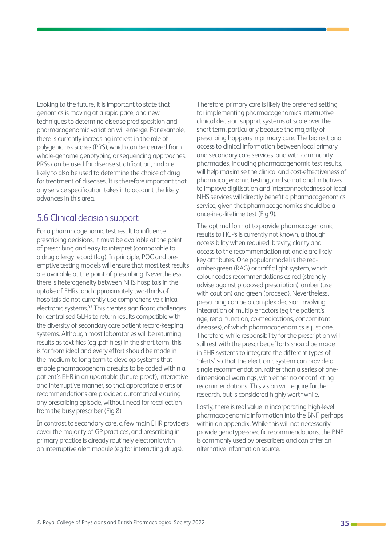<span id="page-34-0"></span>Looking to the future, it is important to state that genomics is moving at a rapid pace, and new techniques to determine disease predisposition and pharmacogenomic variation will emerge. For example, there is currently increasing interest in the role of polygenic risk scores (PRS), which can be derived from whole-genome genotyping or sequencing approaches. PRSs can be used for disease stratification, and are likely to also be used to determine the choice of drug for treatment of diseases. It is therefore important that any service specification takes into account the likely advances in this area.

#### 5.6 Clinical decision support

For a pharmacogenomic test result to influence prescribing decisions, it must be available at the point of prescribing and easy to interpret (comparable to a drug allergy record flag). In principle, POC and preemptive testing models will ensure that most test results are available at the point of prescribing. Nevertheless, there is heterogeneity between NHS hospitals in the uptake of EHRs, and approximately two-thirds of hospitals do not currently use comprehensive clinical electronic systems.53 This creates significant challenges for centralised GLHs to return results compatible with the diversity of secondary care patient record-keeping systems. Although most laboratories will be returning results as text files (eg .pdf files) in the short term, this is far from ideal and every effort should be made in the medium to long term to develop systems that enable pharmacogenomic results to be coded within a patient's EHR in an updatable (future-proof), interactive and interruptive manner, so that appropriate alerts or recommendations are provided automatically during any prescribing episode, without need for recollection from the busy prescriber (Fig 8).

In contrast to secondary care, a few main EHR providers cover the majority of GP practices, and prescribing in primary practice is already routinely electronic with an interruptive alert module (eg for interacting drugs).

Therefore, primary care is likely the preferred setting for implementing pharmacogenomics interruptive clinical decision support systems at scale over the short term, particularly because the majority of prescribing happens in primary care. The bidirectional access to clinical information between local primary and secondary care services, and with community pharmacies, including pharmacogenomic test results, will help maximise the clinical and cost-effectiveness of pharmacogenomic testing, and so national initiatives to improve digitisation and interconnectedness of local NHS services will directly benefit a pharmacogenomics service, given that pharmacogenomics should be a once-in-a-lifetime test (Fig 9).

The optimal format to provide pharmacogenomic results to HCPs is currently not known, although accessibility when required, brevity, clarity and access to the recommendation rationale are likely key attributes. One popular model is the redamber-green (RAG) or traffic light system, which colour-codes recommendations as red (strongly advise against proposed prescription), amber (use with caution) and green (proceed). Nevertheless, prescribing can be a complex decision involving integration of multiple factors (eg the patient's age, renal function, co-medications, concomitant diseases), of which pharmacogenomics is just one. Therefore, while responsibility for the prescription will still rest with the prescriber, efforts should be made in EHR systems to integrate the different types of 'alerts' so that the electronic system can provide a single recommendation, rather than a series of onedimensional warnings, with either no or conflicting recommendations. This vision will require further research, but is considered highly worthwhile.

Lastly, there is real value in incorporating high-level pharmacogenomic information into the BNF, perhaps within an appendix. While this will not necessarily provide genotype-specific recommendations, the BNF is commonly used by prescribers and can offer an alternative information source.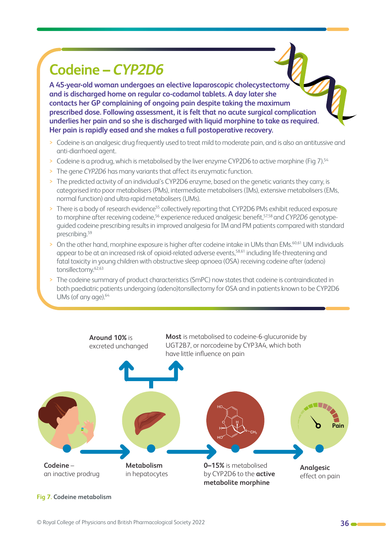## **Codeine –** *CYP2D6*

**A 45-year-old woman undergoes an elective laparoscopic cholecystectomy and is discharged home on regular co-codamol tablets. A day later she contacts her GP complaining of ongoing pain despite taking the maximum prescribed dose. Following assessment, it is felt that no acute surgical complication underlies her pain and so she is discharged with liquid morphine to take as required. Her pain is rapidly eased and she makes a full postoperative recovery.**

- > Codeine is an analgesic drug frequently used to treat mild to moderate pain, and is also an antitussive and anti-diarrhoeal agent.
- > Codeine is a prodrug, which is metabolised by the liver enzyme CYP2D6 to active morphine (Fig 7).54
- > The gene *CYP2D6* has many variants that affect its enzymatic function.
- > The predicted activity of an individual's CYP2D6 enzyme, based on the genetic variants they carry, is categorised into poor metabolisers (PMs), intermediate metabolisers (IMs), extensive metabolisers (EMs, normal function) and ultra-rapid metabolisers (UMs).
- > There is a body of research evidence<sup>55</sup> collectively reporting that CYP2D6 PMs exhibit reduced exposure to morphine after receiving codeine,<sup>56</sup> experience reduced analgesic benefit,<sup>57,58</sup> and *CYP2D6* genotypeguided codeine prescribing results in improved analgesia for IM and PM patients compared with standard prescribing.59
- > On the other hand, morphine exposure is higher after codeine intake in UMs than EMs.<sup>60,61</sup> UM individuals appear to be at an increased risk of opioid-related adverse events,<sup>58,61</sup> including life-threatening and fatal toxicity in young children with obstructive sleep apnoea (OSA) receiving codeine after (adeno) tonsillectomy.62,63
- > The codeine summary of product characteristics (SmPC) now states that codeine is contraindicated in both paediatric patients undergoing (adeno)tonsillectomy for OSA and in patients known to be CYP2D6 UMs (of any age).<sup>64</sup>



#### **Fig 7. Codeine metabolism**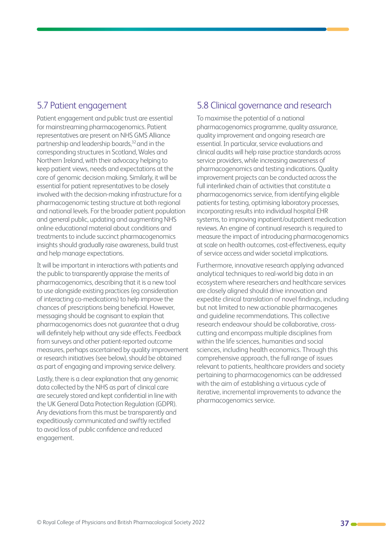#### <span id="page-36-0"></span>5.7 Patient engagement

Patient engagement and public trust are essential for mainstreaming pharmacogenomics. Patient representatives are present on NHS GMS Alliance partnership and leadership boards,<sup>32</sup> and in the corresponding structures in Scotland, Wales and Northern Ireland, with their advocacy helping to keep patient views, needs and expectations at the core of genomic decision making. Similarly, it will be essential for patient representatives to be closely involved with the decision-making infrastructure for a pharmacogenomic testing structure at both regional and national levels. For the broader patient population and general public, updating and augmenting NHS online educational material about conditions and treatments to include succinct pharmacogenomics insights should gradually raise awareness, build trust and help manage expectations.

It will be important in interactions with patients and the public to transparently appraise the merits of pharmacogenomics, describing that it is a new tool to use alongside existing practices (eg consideration of interacting co-medications) to help improve the chances of prescriptions being beneficial. However, messaging should be cognisant to explain that pharmacogenomics does not *guarantee* that a drug will definitely help without any side effects. Feedback from surveys and other patient-reported outcome measures, perhaps ascertained by quality improvement or research initiatives (see below), should be obtained as part of engaging and improving service delivery.

Lastly, there is a clear explanation that any genomic data collected by the NHS as part of clinical care are securely stored and kept confidential in line with the UK General Data Protection Regulation (GDPR). Any deviations from this must be transparently and expeditiously communicated and swiftly rectified to avoid loss of public confidence and reduced engagement.

#### 5.8 Clinical governance and research

To maximise the potential of a national pharmacogenomics programme, quality assurance, quality improvement and ongoing research are essential. In particular, service evaluations and clinical audits will help raise practice standards across service providers, while increasing awareness of pharmacogenomics and testing indications. Quality improvement projects can be conducted across the full interlinked chain of activities that constitute a pharmacogenomics service, from identifying eligible patients for testing, optimising laboratory processes, incorporating results into individual hospital EHR systems, to improving inpatient/outpatient medication reviews. An engine of continual research is required to measure the impact of introducing pharmacogenomics at scale on health outcomes, cost-effectiveness, equity of service access and wider societal implications.

Furthermore, innovative research applying advanced analytical techniques to real-world big data in an ecosystem where researchers and healthcare services are closely aligned should drive innovation and expedite clinical translation of novel findings, including but not limited to new actionable pharmacogenes and guideline recommendations. This collective research endeavour should be collaborative, crosscutting and encompass multiple disciplines from within the life sciences, humanities and social sciences, including health economics. Through this comprehensive approach, the full range of issues relevant to patients, healthcare providers and society pertaining to pharmacogenomics can be addressed with the aim of establishing a virtuous cycle of iterative, incremental improvements to advance the pharmacogenomics service.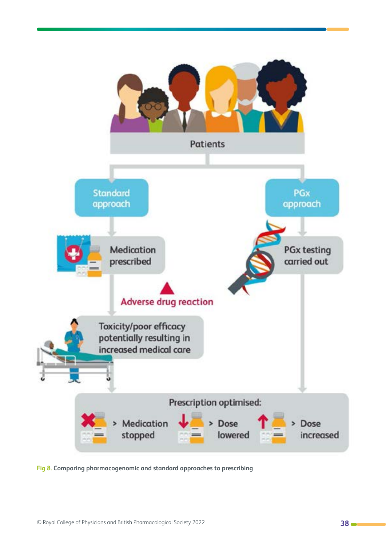

**Fig 8. Comparing pharmacogenomic and standard approaches to prescribing**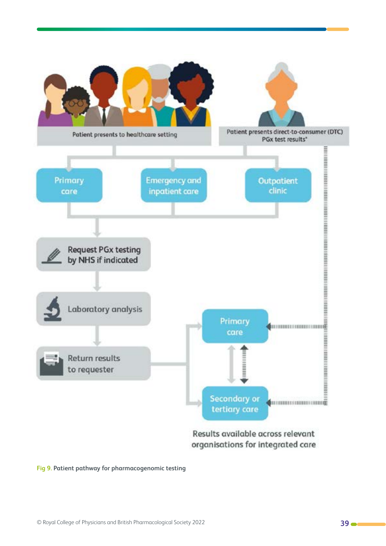

#### **Fig 9. Patient pathway for pharmacogenomic testing**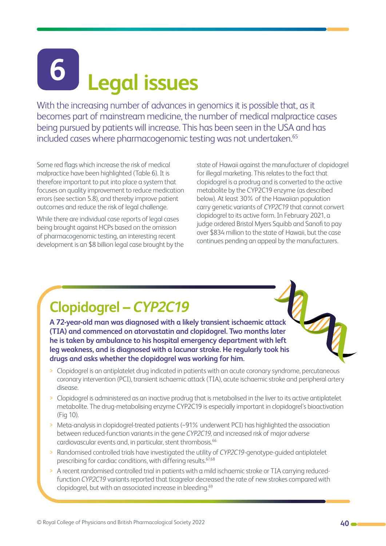# <span id="page-39-0"></span>**Legal issues 6**

With the increasing number of advances in genomics it is possible that, as it becomes part of mainstream medicine, the number of medical malpractice cases being pursued by patients will increase. This has been seen in the USA and has included cases where pharmacogenomic testing was not undertaken.<sup>65</sup>

Some red flags which increase the risk of medical malpractice have been highlighted (Table 6). It is therefore important to put into place a system that focuses on quality improvement to reduce medication errors (see section 5.8), and thereby improve patient outcomes and reduce the risk of legal challenge.

While there are individual case reports of legal cases being brought against HCPs based on the omission of pharmacogenomic testing, an interesting recent development is an \$8 billion legal case brought by the

state of Hawaii against the manufacturer of clopidogrel for illegal marketing. This relates to the fact that clopidogrel is a prodrug and is converted to the active metabolite by the CYP2C19 enzyme (as described below). At least 30% of the Hawaiian population carry genetic variants of *CYP2C19* that cannot convert clopidogrel to its active form. In February 2021, a judge ordered Bristol Myers Squibb and Sanofi to pay over \$834 million to the state of Hawaii, but the case continues pending an appeal by the manufacturers.

## **Clopidogrel –** *CYP2C19*

**A 72-year-old man was diagnosed with a likely transient ischaemic attack (TIA) and commenced on atorvastatin and clopidogrel. Two months later he is taken by ambulance to his hospital emergency department with left leg weakness, and is diagnosed with a lacunar stroke. He regularly took his drugs and asks whether the clopidogrel was working for him.**

- > Clopidogrel is an antiplatelet drug indicated in patients with an acute coronary syndrome, percutaneous coronary intervention (PCI), transient ischaemic attack (TIA), acute ischaemic stroke and peripheral artery disease.
- > Clopidogrel is administered as an inactive prodrug that is metabolised in the liver to its active antiplatelet metabolite. The drug-metabolising enzyme CYP2C19 is especially important in clopidogrel's bioactivation (Fig 10).
- > Meta-analysis in clopidogrel-treated patients (~91% underwent PCI) has highlighted the association between reduced-function variants in the gene *CYP2C19*, and increased risk of major adverse cardiovascular events and, in particular, stent thrombosis.<sup>66</sup>
- > Randomised controlled trials have investigated the utility of *CYP2C19*-genotype-guided antiplatelet prescribing for cardiac conditions, with differing results.<sup>67,68</sup>
- > A recent randomised controlled trial in patients with a mild ischaemic stroke or TIA carrying reducedfunction *CYP2C19* variants reported that ticagrelor decreased the rate of new strokes compared with clopidogrel, but with an associated increase in bleeding.69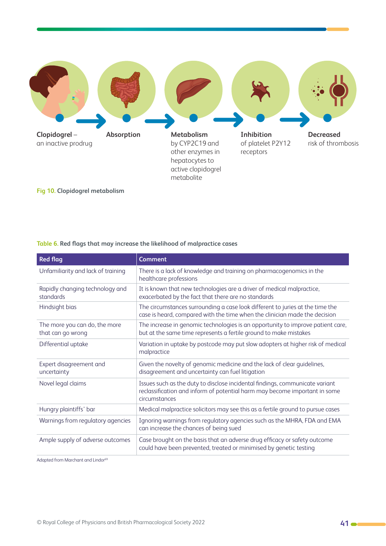

**Fig 10. Clopidogrel metabolism** 

#### **Table 6. Red flags that may increase the likelihood of malpractice cases**

| <b>Red flag</b>                                    | <b>Comment</b>                                                                                                                                                              |
|----------------------------------------------------|-----------------------------------------------------------------------------------------------------------------------------------------------------------------------------|
| Unfamiliarity and lack of training                 | There is a lack of knowledge and training on pharmacogenomics in the<br>healthcare professions                                                                              |
| Rapidly changing technology and<br>standards       | It is known that new technologies are a driver of medical malpractice,<br>exacerbated by the fact that there are no standards                                               |
| Hindsight bias                                     | The circumstances surrounding a case look different to juries at the time the<br>case is heard, compared with the time when the clinician made the decision                 |
| The more you can do, the more<br>that can go wrong | The increase in genomic technologies is an opportunity to improve patient care,<br>but at the same time represents a fertile ground to make mistakes                        |
| Differential uptake                                | Variation in uptake by postcode may put slow adopters at higher risk of medical<br>malpractice                                                                              |
| Expert disagreement and<br>uncertainty             | Given the novelty of genomic medicine and the lack of clear guidelines,<br>disagreement and uncertainty can fuel litigation                                                 |
| Novel legal claims                                 | Issues such as the duty to disclose incidental findings, communicate variant<br>reclassification and inform of potential harm may become important in some<br>circumstances |
| Hungry plaintiffs' bar                             | Medical malpractice solicitors may see this as a fertile ground to pursue cases                                                                                             |
| Warnings from regulatory agencies                  | Ignoring warnings from regulatory agencies such as the MHRA, FDA and EMA<br>can increase the chances of being sued                                                          |
| Ample supply of adverse outcomes                   | Case brought on the basis that an adverse drug efficacy or safety outcome<br>could have been prevented, treated or minimised by genetic testing                             |

Adapted from Marchant and Lindor<sup>69</sup>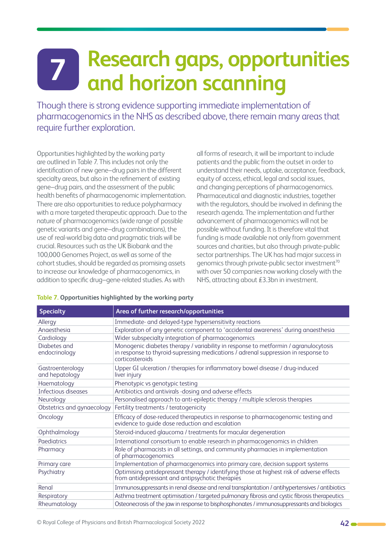# <span id="page-41-0"></span>**Research gaps, opportunities and horizon scanning<br>Tand horizon scanning**

Though there is strong evidence supporting immediate implementation of pharmacogenomics in the NHS as described above, there remain many areas that require further exploration.

Opportunities highlighted by the working party are outlined in Table 7. This includes not only the identification of new gene–drug pairs in the different specialty areas, but also in the refinement of existing gene–drug pairs, and the assessment of the public health benefits of pharmacogenomic implementation. There are also opportunities to reduce polypharmacy with a more targeted therapeutic approach. Due to the nature of pharmacogenomics (wide range of possible genetic variants and gene–drug combinations), the use of real-world big data and pragmatic trials will be crucial. Resources such as the UK Biobank and the 100,000 Genomes Project, as well as some of the cohort studies, should be regarded as promising assets to increase our knowledge of pharmacogenomics, in addition to specific drug–gene-related studies. As with

all forms of research, it will be important to include patients and the public from the outset in order to understand their needs, uptake, acceptance, feedback, equity of access, ethical, legal and social issues, and changing perceptions of pharmacogenomics. Pharmaceutical and diagnostic industries, together with the regulators, should be involved in defining the research agenda. The implementation and further advancement of pharmacogenomics will not be possible without funding. It is therefore vital that funding is made available not only from government sources and charities, but also through private-public sector partnerships. The UK has had major success in genomics through private-public sector investment<sup>70</sup> with over 50 companies now working closely with the NHS, attracting about £3.3bn in investment.

| <b>Specialty</b>                   | Area of further research/opportunities                                                                                                                                                       |
|------------------------------------|----------------------------------------------------------------------------------------------------------------------------------------------------------------------------------------------|
| Allergy                            | Immediate- and delayed-type hypersensitivity reactions                                                                                                                                       |
| Anaesthesia                        | Exploration of any genetic component to 'accidental awareness' during anaesthesia                                                                                                            |
| Cardiology                         | Wider subspecialty integration of pharmacogenomics                                                                                                                                           |
| Diabetes and<br>endocrinology      | Monogenic diabetes therapy / variability in response to metformin / agranulocytosis<br>in response to thyroid-supressing medications / adrenal suppression in response to<br>corticosteroids |
| Gastroenterology<br>and hepatology | Upper GI ulceration / therapies for inflammatory bowel disease / drug-induced<br>liver injury                                                                                                |
| Haematology                        | Phenotypic vs genotypic testing                                                                                                                                                              |
| Infectious diseases                | Antibiotics and antivirals -dosing and adverse effects                                                                                                                                       |
| Neurology                          | Personalised approach to anti-epileptic therapy / multiple sclerosis therapies                                                                                                               |
| Obstetrics and gynaecology         | Fertility treatments / teratogenicity                                                                                                                                                        |
| Oncology                           | Efficacy of dose-reduced therapeutics in response to pharmacogenomic testing and<br>evidence to guide dose reduction and escalation                                                          |
| Ophthalmology                      | Steroid-induced glaucoma / treatments for macular degeneration                                                                                                                               |
| Paediatrics                        | International consortium to enable research in pharmacogenomics in children                                                                                                                  |
| Pharmacy                           | Role of pharmacists in all settings, and community pharmacies in implementation<br>of pharmacogenomics                                                                                       |
| Primary care                       | Implementation of pharmacgenomics into primary care, decision support systems                                                                                                                |
| Psychiatry                         | Optimising antidepressant therapy / identifying those at highest risk of adverse effects<br>from antidepressant and antipsychotic therapies                                                  |
| Renal                              | Immunosuppressants in renal disease and renal transplantation / antihypertensives / antibiotics                                                                                              |
| Respiratory                        | Asthma treatment optimisation / targeted pulmonary fibrosis and cystic fibrosis therapeutics                                                                                                 |
| Rheumatology                       | Osteonecrosis of the jaw in response to bisphosphonates / immunosuppressants and biologics                                                                                                   |

#### **Table 7. Opportunities highlighted by the working party**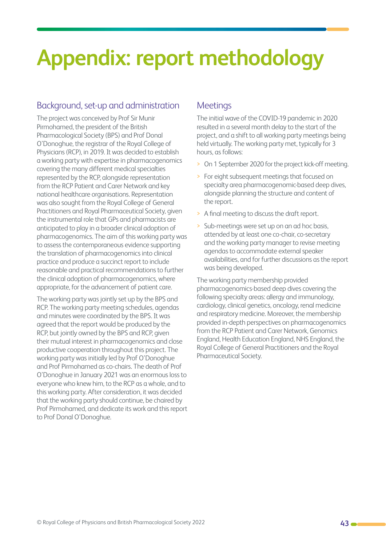# <span id="page-42-0"></span>**Appendix: report methodology**

#### Background, set-up and administration

The project was conceived by Prof Sir Munir Pirmohamed, the president of the British Pharmacological Society (BPS) and Prof Donal O'Donoghue, the registrar of the Royal College of Physicians (RCP), in 2019. It was decided to establish a working party with expertise in pharmacogenomics covering the many different medical specialties represented by the RCP, alongside representation from the RCP Patient and Carer Network and key national healthcare organisations. Representation was also sought from the Royal College of General Practitioners and Royal Pharmaceutical Society, given the instrumental role that GPs and pharmacists are anticipated to play in a broader clinical adoption of pharmacogenomics. The aim of this working party was to assess the contemporaneous evidence supporting the translation of pharmacogenomics into clinical practice and produce a succinct report to include reasonable and practical recommendations to further the clinical adoption of pharmacogenomics, where appropriate, for the advancement of patient care.

The working party was jointly set up by the BPS and RCP. The working party meeting schedules, agendas and minutes were coordinated by the BPS. It was agreed that the report would be produced by the RCP, but jointly owned by the BPS and RCP, given their mutual interest in pharmacogenomics and close productive cooperation throughout this project. The working party was initially led by Prof O'Donoghue and Prof Pirmohamed as co-chairs. The death of Prof O'Donoghue in January 2021 was an enormous loss to everyone who knew him, to the RCP as a whole, and to this working party. After consideration, it was decided that the working party should continue, be chaired by Prof Pirmohamed, and dedicate its work and this report to Prof Donal O'Donoghue.

#### **Meetings**

The initial wave of the COVID-19 pandemic in 2020 resulted in a several month delay to the start of the project, and a shift to all working party meetings being held virtually. The working party met, typically for 3 hours, as follows:

- > On 1 September 2020 for the project kick-off meeting.
- > For eight subsequent meetings that focused on specialty area pharmacogenomic-based deep dives, alongside planning the structure and content of the report.
- > A final meeting to discuss the draft report.
- Sub-meetings were set up on an ad hoc basis. attended by at least one co-chair, co-secretary and the working party manager to revise meeting agendas to accommodate external speaker availabilities, and for further discussions as the report was being developed.

The working party membership provided pharmacogenomics-based deep dives covering the following specialty areas: allergy and immunology, cardiology, clinical genetics, oncology, renal medicine and respiratory medicine. Moreover, the membership provided in-depth perspectives on pharmacogenomics from the RCP Patient and Carer Network, Genomics England, Health Education England, NHS England, the Royal College of General Practitioners and the Royal Pharmaceutical Society.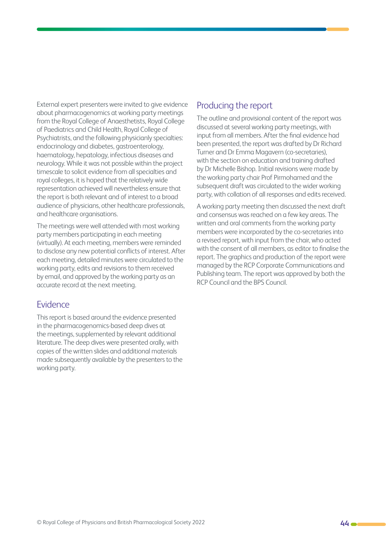External expert presenters were invited to give evidence about pharmacogenomics at working party meetings from the Royal College of Anaesthetists, Royal College of Paediatrics and Child Health, Royal College of Psychiatrists, and the following physicianly specialties: endocrinology and diabetes, gastroenterology, haematology, hepatology, infectious diseases and neurology. While it was not possible within the project timescale to solicit evidence from all specialties and royal colleges, it is hoped that the relatively wide representation achieved will nevertheless ensure that the report is both relevant and of interest to a broad audience of physicians, other healthcare professionals, and healthcare organisations.

The meetings were well attended with most working party members participating in each meeting (virtually). At each meeting, members were reminded to disclose any new potential conflicts of interest. After each meeting, detailed minutes were circulated to the working party, edits and revisions to them received by email, and approved by the working party as an accurate record at the next meeting.

#### Evidence

This report is based around the evidence presented in the pharmacogenomics-based deep dives at the meetings, supplemented by relevant additional literature. The deep dives were presented orally, with copies of the written slides and additional materials made subsequently available by the presenters to the working party.

#### Producing the report

The outline and provisional content of the report was discussed at several working party meetings, with input from all members. After the final evidence had been presented, the report was drafted by Dr Richard Turner and Dr Emma Magavern (co-secretaries), with the section on education and training drafted by Dr Michelle Bishop. Initial revisions were made by the working party chair Prof Pirmohamed and the subsequent draft was circulated to the wider working party, with collation of all responses and edits received.

A working party meeting then discussed the next draft and consensus was reached on a few key areas. The written and oral comments from the working party members were incorporated by the co-secretaries into a revised report, with input from the chair, who acted with the consent of all members, as editor to finalise the report. The graphics and production of the report were managed by the RCP Corporate Communications and Publishing team. The report was approved by both the RCP Council and the BPS Council.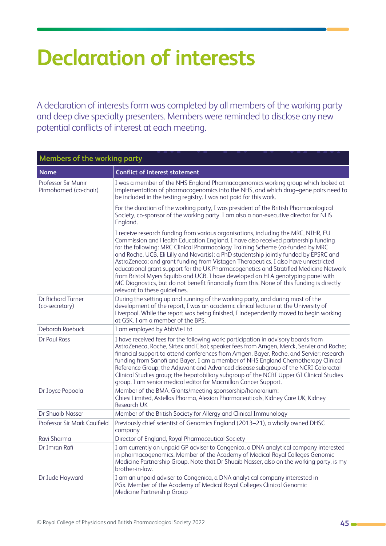# <span id="page-44-0"></span>**Declaration of interests**

A declaration of interests form was completed by all members of the working party and deep dive specialty presenters. Members were reminded to disclose any new potential conflicts of interest at each meeting.

| <b>Members of the working party</b>          |                                                                                                                                                                                                                                                                                                                                                                                                                                                                                                                                                                                                                                                                                                                                                        |  |  |
|----------------------------------------------|--------------------------------------------------------------------------------------------------------------------------------------------------------------------------------------------------------------------------------------------------------------------------------------------------------------------------------------------------------------------------------------------------------------------------------------------------------------------------------------------------------------------------------------------------------------------------------------------------------------------------------------------------------------------------------------------------------------------------------------------------------|--|--|
| <b>Name</b>                                  | <b>Conflict of interest statement</b>                                                                                                                                                                                                                                                                                                                                                                                                                                                                                                                                                                                                                                                                                                                  |  |  |
| Professor Sir Munir<br>Pirmohamed (co-chair) | I was a member of the NHS England Pharmacogenomics working group which looked at<br>implementation of pharmacogenomics into the NHS, and which drug-gene pairs need to<br>be included in the testing registry. I was not paid for this work.                                                                                                                                                                                                                                                                                                                                                                                                                                                                                                           |  |  |
|                                              | For the duration of the working party, I was president of the British Pharmacological<br>Society, co-sponsor of the working party. I am also a non-executive director for NHS<br>England.                                                                                                                                                                                                                                                                                                                                                                                                                                                                                                                                                              |  |  |
|                                              | I receive research funding from various organisations, including the MRC, NIHR, EU<br>Commission and Health Education England. I have also received partnership funding<br>for the following: MRC Clinical Pharmacology Training Scheme (co-funded by MRC<br>and Roche, UCB, Eli Lilly and Novartis); a PhD studentship jointly funded by EPSRC and<br>AstraZeneca; and grant funding from Vistagen Therapeutics. I also have unrestricted<br>educational grant support for the UK Pharmacogenetics and Stratified Medicine Network<br>from Bristol Myers Squibb and UCB. I have developed an HLA genotyping panel with<br>MC Diagnostics, but do not benefit financially from this. None of this funding is directly<br>relevant to these guidelines. |  |  |
| Dr Richard Turner<br>(co-secretary)          | During the setting up and running of the working party, and during most of the<br>development of the report, I was an academic clinical lecturer at the University of<br>Liverpool. While the report was being finished, I independently moved to begin working<br>at GSK. I am a member of the BPS.                                                                                                                                                                                                                                                                                                                                                                                                                                                   |  |  |
| Deborah Roebuck                              | I am employed by AbbVie Ltd                                                                                                                                                                                                                                                                                                                                                                                                                                                                                                                                                                                                                                                                                                                            |  |  |
| Dr Paul Ross                                 | I have received fees for the following work: participation in advisory boards from<br>AstraZeneca, Roche, Sirtex and Eisai; speaker fees from Amgen, Merck, Servier and Roche;<br>financial support to attend conferences from Amgen, Bayer, Roche, and Servier; research<br>funding from Sanofi and Bayer. I am a member of NHS England Chemotherapy Clinical<br>Reference Group; the Adjuvant and Advanced disease subgroup of the NCRI Colorectal<br>Clinical Studies group; the hepatobiliary subgroup of the NCRI Upper GI Clinical Studies<br>group. I am senior medical editor for Macmillan Cancer Support.                                                                                                                                    |  |  |
| Dr Joyce Popoola                             | Member of the BMA. Grants/meeting sponsorship/honorarium:<br>Chiesi Limited, Astellas Pharma, Alexion Pharmaceuticals, Kidney Care UK, Kidney<br><b>Research UK</b>                                                                                                                                                                                                                                                                                                                                                                                                                                                                                                                                                                                    |  |  |
| Dr Shuaib Nasser                             | Member of the British Society for Allergy and Clinical Immunology                                                                                                                                                                                                                                                                                                                                                                                                                                                                                                                                                                                                                                                                                      |  |  |
| Professor Sir Mark Caulfield                 | Previously chief scientist of Genomics England (2013-21), a wholly owned DHSC<br>company                                                                                                                                                                                                                                                                                                                                                                                                                                                                                                                                                                                                                                                               |  |  |
| Ravi Sharma                                  | Director of England, Royal Pharmaceutical Society                                                                                                                                                                                                                                                                                                                                                                                                                                                                                                                                                                                                                                                                                                      |  |  |
| Dr Imran Rafi                                | I am currently an unpaid GP adviser to Congenica, a DNA analytical company interested<br>in pharmacogenomics. Member of the Academy of Medical Royal Colleges Genomic<br>Medicine Partnership Group. Note that Dr Shuaib Nasser, also on the working party, is my<br>brother-in-law.                                                                                                                                                                                                                                                                                                                                                                                                                                                                   |  |  |
| Dr Jude Hayward                              | I am an unpaid adviser to Congenica, a DNA analytical company interested in<br>PGx. Member of the Academy of Medical Royal Colleges Clinical Genomic<br>Medicine Partnership Group                                                                                                                                                                                                                                                                                                                                                                                                                                                                                                                                                                     |  |  |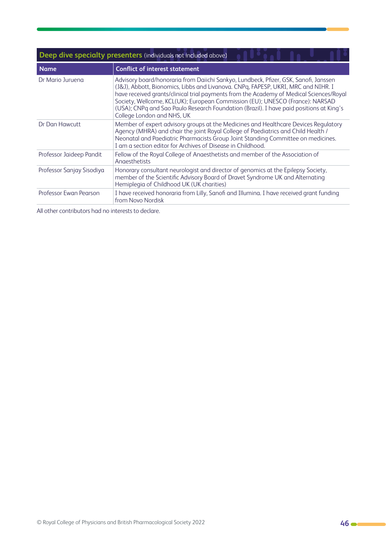| Deep dive specialty presenters (individuals not included above) |                                                                                                                                                                                                                                                                                                                                                                                                                                                                                |
|-----------------------------------------------------------------|--------------------------------------------------------------------------------------------------------------------------------------------------------------------------------------------------------------------------------------------------------------------------------------------------------------------------------------------------------------------------------------------------------------------------------------------------------------------------------|
| <b>Name</b>                                                     | <b>Conflict of interest statement</b>                                                                                                                                                                                                                                                                                                                                                                                                                                          |
| Dr Mario Juruena                                                | Advisory board/honoraria from Daiichi Sankyo, Lundbeck, Pfizer, GSK, Sanofi, Janssen<br>(J&J), Abbott, Bionomics, Libbs and Livanova. CNPq, FAPESP, UKRI, MRC and NIHR. I<br>have received grants/clinical trial payments from the Academy of Medical Sciences/Royal<br>Society, Wellcome, KCL(UK); European Commission (EU); UNESCO (France): NARSAD<br>(USA); CNPq and Sao Paulo Research Foundation (Brazil). I have paid positions at King's<br>College London and NHS, UK |
| Dr Dan Hawcutt                                                  | Member of expert advisory groups at the Medicines and Healthcare Devices Regulatory<br>Agency (MHRA) and chair the joint Royal College of Paediatrics and Child Health /<br>Neonatal and Paediatric Pharmacists Group Joint Standing Committee on medicines.<br>I am a section editor for Archives of Disease in Childhood.                                                                                                                                                    |
| Professor Jaideep Pandit                                        | Fellow of the Royal College of Anaesthetists and member of the Association of<br>Angesthetists                                                                                                                                                                                                                                                                                                                                                                                 |
| Professor Sanjay Sisodiya                                       | Honorary consultant neurologist and director of genomics at the Epilepsy Society,<br>member of the Scientific Advisory Board of Dravet Syndrome UK and Alternating<br>Hemiplegia of Childhood UK (UK charities)                                                                                                                                                                                                                                                                |
| Professor Ewan Pearson                                          | I have received honoraria from Lilly, Sanofi and Illumina. I have received grant funding<br>from Novo Nordisk                                                                                                                                                                                                                                                                                                                                                                  |

All other contributors had no interests to declare.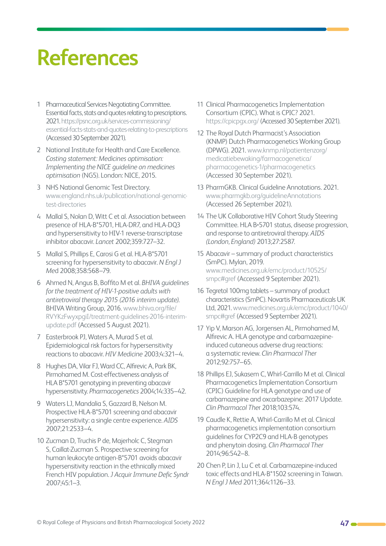# <span id="page-46-0"></span>**References**

- 1 Pharmaceutical Services Negotiating Committee. Essential facts, stats and quotes relating to prescriptions. 2021. [https://psnc.org.uk/services-commissioning/](https://psnc.org.uk/services-commissioning/essential-facts-stats-and-quotes-relating-to-prescriptions ) [essential-facts-stats-and-quotes-relating-to-prescriptions](https://psnc.org.uk/services-commissioning/essential-facts-stats-and-quotes-relating-to-prescriptions )  (Accessed 30 September 2021).
- 2 National Institute for Health and Care Excellence. *Costing statement: Medicines optimisation: Implementing the NICE guideline on medicines optimisation* (NG5). London: NICE, 2015.
- 3 NHS National Genomic Test Directory. [www.england.nhs.uk/publication/national-genomic](http://www.england.nhs.uk/publication/national-genomic-test-directories)[test-directories](http://www.england.nhs.uk/publication/national-genomic-test-directories)
- 4 Mallal S, Nolan D, Witt C et al. Association between presence of HLA-B\*5701, HLA-DR7, and HLA-DQ3 and hypersensitivity to HIV-1 reverse-transcriptase inhibitor abacavir. *Lancet* 2002;359:727–32.
- 5 Mallal S, Phillips E, Carosi G et al. HLA-B\*5701 screening for hypersensitivity to abacavir. *N Engl J Me*d 2008;358:568–79.
- 6 Ahmed N, Angus B, Boffito M et al. *BHIVA guidelines for the treatment of HIV-1-positive adults with antiretroviral therapy 2015 (2016 interim update)*. BHIVA Writing Group, 2016. [www.bhiva.org/file/](http://www.bhiva.org/file/RVYKzFwyxpgiI/treatment-guidelines-2016-interim-update.pdf) [RVYKzFwyxpgiI/treatment-guidelines-2016-interim](http://www.bhiva.org/file/RVYKzFwyxpgiI/treatment-guidelines-2016-interim-update.pdf)[update.pdf](http://www.bhiva.org/file/RVYKzFwyxpgiI/treatment-guidelines-2016-interim-update.pdf) (Accessed 5 August 2021).
- 7 Easterbrook PJ, Waters A, Murad S et al. Epidemiological risk factors for hypersensitivity reactions to abacavir. *HIV Medicine* 2003;4:321–4.
- 8 Hughes DA, Vilar FJ, Ward CC, Alfirevic A, Park BK, Pirmohamed M. Cost-effectiveness analysis of HLA B\*5701 genotyping in preventing abacavir hypersensitivity. *Pharmacogenetics* 2004;14:335–42.
- 9 Waters LJ, Mandalia S, Gazzard B, Nelson M. Prospective HLA-B\*5701 screening and abacavir hypersensitivity: a single centre experience. *AIDS* 2007;21:2533–4.
- 10 Zucman D, Truchis P de, Majerholc C, Stegman S, Caillat-Zucman S. Prospective screening for human leukocyte antigen-B\*5701 avoids abacavir hypersensitivity reaction in the ethnically mixed French HIV population. *J Acquir Immune Defic Syndr*  2007;45:1–3.
- 11 Clinical Pharmacogenetics Implementation Consortium (CPIC). What is CPIC? 2021. [https://cpicpgx.org/ \(Accessed 30 September 2021\)](https://cpicpgx.org/).
- 12 The Royal Dutch Pharmacist's Association (KNMP) Dutch Pharmacogenetics Working Group (DPWG). 2021. [www.knmp.nl/patientenzorg/](http://www.knmp.nl/patientenzorg/medicatiebewaking/farmacogenetica/pharmacogenetics-1/pharmacogenetics) [medicatiebewaking/farmacogenetica/](http://www.knmp.nl/patientenzorg/medicatiebewaking/farmacogenetica/pharmacogenetics-1/pharmacogenetics) [pharmacogenetics-1/pharmacogenetics](http://www.knmp.nl/patientenzorg/medicatiebewaking/farmacogenetica/pharmacogenetics-1/pharmacogenetics)  (Accessed 30 September 2021).
- 13 PharmGKB. Clinical Guideline Annotations. 2021. [www.pharmgkb.org/guidelineAnnotations](http://www.pharmgkb.org/guidelineAnnotations) (Accessed 26 September 2021).
- 14 The UK Collaborative HIV Cohort Study Steering Committee. HLA B\*5701 status, disease progression, and response to antiretroviral therapy. *AIDS (London, England)* 2013;27:2587.
- 15 Abacavir summary of product characteristics (SmPC). Mylan, 2019. [www.medicines.org.uk/emc/product/10525/](http://www.medicines.org.uk/emc/product/10525/smpc#gref) [smpc#gref](http://www.medicines.org.uk/emc/product/10525/smpc#gref) (Accessed 9 September 2021).
- 16 Tegretol 100mg tablets summary of product characteristics (SmPC). Novartis Pharmaceuticals UK Ltd, 2021. [www.medicines.org.uk/emc/product/1040/](http://www.medicines.org.uk/emc/product/1040/smpc#gref) [smpc#gref](http://www.medicines.org.uk/emc/product/1040/smpc#gref) (Accessed 9 September 2021).
- 17 Yip V, Marson AG, Jorgensen AL, Pirmohamed M, Alfirevic A. HLA genotype and carbamazepineinduced cutaneous adverse drug reactions: a systematic review. *Clin Pharmacol Ther* 2012;92:757–65.
- 18 Phillips EJ, Sukasem C, Whirl-Carrillo M et al. Clinical Pharmacogenetics Implementation Consortium (CPIC) Guideline for HLA genotype and use of carbamazepine and oxcarbazepine: 2017 Update. *Clin Pharmacol The*r 2018;103:574.
- 19 Caudle K, Rettie A, Whirl-Carrillo M et al. Clinical pharmacogenetics implementation consortium guidelines for CYP2C9 and HLA-B genotypes and phenytoin dosing. *Clin Pharmacol Ther* 2014;96:542–8.
- 20 Chen P, Lin J, Lu C et al. Carbamazepine-induced toxic effects and HLA-B\*1502 screening in Taiwan. *N Engl J Med* 2011;364:1126–33.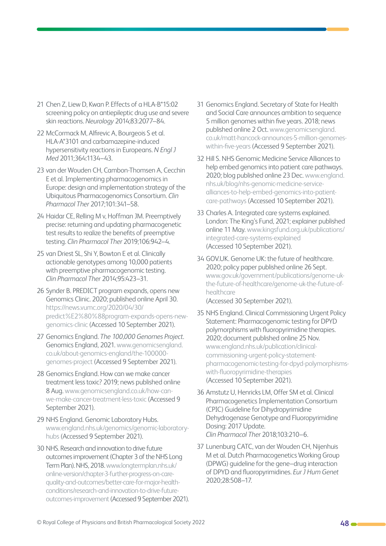- 21 Chen Z, Liew D, Kwan P. Effects of a HLA-B\*15:02 screening policy on antiepileptic drug use and severe skin reactions. *Neurology* 2014;83:2077–84.
- 22 McCormack M, Alfirevic A, Bourgeois S et al. HLA-A\*3101 and carbamazepine-induced hypersensitivity reactions in Europeans. *N Engl J Med* 2011;364:1134–43.
- 23 van der Wouden CH, Cambon-Thomsen A, Cecchin E et al. Implementing pharmacogenomics in Europe: design and implementation strategy of the Ubiquitous Pharmacogenomics Consortium. *Clin Pharmacol Ther* 2017;101:341–58.
- 24 Haidar CE, Relling M v, Hoffman JM. Preemptively precise: returning and updating pharmacogenetic test results to realize the benefits of preemptive testing. *Clin Pharmacol Ther* 2019;106:942–4.
- 25 van Driest SL, Shi Y, Bowton E et al. Clinically actionable genotypes among 10,000 patients with preemptive pharmacogenomic testing. *Clin Pharmacol Ther* 2014;95:423–31.
- 26 Synder B. PREDICT program expands, opens new Genomics Clinic. 2020; published online April 30. [https://news.vumc.org/2020/04/30/](https://news.vumc.org/2020/04/30/predict%E2%80%88program-expands-opens-new-genomics-clinic) [predict%E2%80%88program-expands-opens-new](https://news.vumc.org/2020/04/30/predict%E2%80%88program-expands-opens-new-genomics-clinic)[genomics-clinic](https://news.vumc.org/2020/04/30/predict%E2%80%88program-expands-opens-new-genomics-clinic) (Accessed 10 September 2021).
- 27 Genomics England. *The 100,000 Genomes Project*. Genomics England, 2021. [www.genomicsengland.](http://www.genomicsengland.co.uk/about-genomics-england/the-100000-genomes-project) [co.uk/about-genomics-england/the-100000](http://www.genomicsengland.co.uk/about-genomics-england/the-100000-genomes-project) [genomes-project](http://www.genomicsengland.co.uk/about-genomics-england/the-100000-genomes-project) (Accessed 9 September 2021).
- 28 Genomics England. How can we make cancer treatment less toxic? 2019; news published online 8 Aug. [www.genomicsengland.co.uk/how-can](http://www.genomicsengland.co.uk/how-can-we-make-cancer-treatment-less-toxic)[we-make-cancer-treatment-less-toxic](http://www.genomicsengland.co.uk/how-can-we-make-cancer-treatment-less-toxic) (Accessed 9 September 2021).
- 29 NHS England. Genomic Laboratory Hubs. [www.england.nhs.uk/genomics/genomic-laboratory](http://www.england.nhs.uk/genomics/genomic-laboratory-hubs)[hubs](http://www.england.nhs.uk/genomics/genomic-laboratory-hubs) (Accessed 9 September 2021).
- 30 NHS. Research and innovation to drive future outcomes improvement (Chapter 3 of the NHS Long Term Plan). NHS, 2018. [www.longtermplan.nhs.uk/](http://www.longtermplan.nhs.uk/online-version/chapter-3-further-progress-on-care-quality-and-outcomes/better-care-for-major-health-conditions/research-and-innovation-to-drive-future-outcomes-improvement) [online-version/chapter-3-further-progress-on-care](http://www.longtermplan.nhs.uk/online-version/chapter-3-further-progress-on-care-quality-and-outcomes/better-care-for-major-health-conditions/research-and-innovation-to-drive-future-outcomes-improvement)[quality-and-outcomes/better-care-for-major-health](http://www.longtermplan.nhs.uk/online-version/chapter-3-further-progress-on-care-quality-and-outcomes/better-care-for-major-health-conditions/research-and-innovation-to-drive-future-outcomes-improvement)[conditions/research-and-innovation-to-drive-future](http://www.longtermplan.nhs.uk/online-version/chapter-3-further-progress-on-care-quality-and-outcomes/better-care-for-major-health-conditions/research-and-innovation-to-drive-future-outcomes-improvement)[outcomes-improvement](http://www.longtermplan.nhs.uk/online-version/chapter-3-further-progress-on-care-quality-and-outcomes/better-care-for-major-health-conditions/research-and-innovation-to-drive-future-outcomes-improvement) (Accessed 9 September 2021).
- 31 Genomics England. Secretary of State for Health and Social Care announces ambition to sequence 5 million genomes within five years. 2018; news published online 2 Oct. [www.genomicsengland.](http://www.genomicsengland.co.uk/matt-hancock-announces-5-million-genomes-within-five-years) [co.uk/matt-hancock-announces-5-million-genomes](http://www.genomicsengland.co.uk/matt-hancock-announces-5-million-genomes-within-five-years)[within-five-years](http://www.genomicsengland.co.uk/matt-hancock-announces-5-million-genomes-within-five-years) (Accessed 9 September 2021).
- 32 Hill S. NHS Genomic Medicine Service Alliances to help embed genomics into patient care pathways. 2020; blog published online 23 Dec. [www.england.](http://www.england.nhs.uk/blog/nhs-genomic-medicine-service-alliances-to-help-embed-genomics-into-patient-care-pathways) [nhs.uk/blog/nhs-genomic-medicine-service](http://www.england.nhs.uk/blog/nhs-genomic-medicine-service-alliances-to-help-embed-genomics-into-patient-care-pathways)[alliances-to-help-embed-genomics-into-patient](http://www.england.nhs.uk/blog/nhs-genomic-medicine-service-alliances-to-help-embed-genomics-into-patient-care-pathways)[care-pathways](http://www.england.nhs.uk/blog/nhs-genomic-medicine-service-alliances-to-help-embed-genomics-into-patient-care-pathways) (Accessed 10 September 2021).
- 33 Charles A. Integrated care systems explained. London: The King's Fund, 2021; explainer published online 11 May. [www.kingsfund.org.uk/publications/](http://www.kingsfund.org.uk/publications/integrated-care-systems-explained) [integrated-care-systems-explained](http://www.kingsfund.org.uk/publications/integrated-care-systems-explained) (Accessed 10 September 2021).
- 34 GOV.UK. Genome UK: the future of healthcare. 2020; policy paper published online 26 Sept. [www.gov.uk/government/publications/genome-uk](http://www.gov.uk/government/publications/genome-uk-the-future-of-healthcare/genome-uk-the-future-of-healthcare)[the-future-of-healthcare/genome-uk-the-future-of](http://www.gov.uk/government/publications/genome-uk-the-future-of-healthcare/genome-uk-the-future-of-healthcare)[healthcare](http://www.gov.uk/government/publications/genome-uk-the-future-of-healthcare/genome-uk-the-future-of-healthcare)

(Accessed 30 September 2021).

- 35 NHS England. Clinical Commissioning Urgent Policy Statement: Pharmacogenomic testing for DPYD polymorphisms with fluoropyrimidine therapies. 2020; document published online 25 Nov. [www.england.nhs.uk/publication/clinical](http://www.england.nhs.uk/publication/clinical-commissioning-urgent-policy-statement-pharmacogenomic-testing-for-dpyd-polymorphisms-with-fluoropyrimidine-therapies)[commissioning-urgent-policy-statement](http://www.england.nhs.uk/publication/clinical-commissioning-urgent-policy-statement-pharmacogenomic-testing-for-dpyd-polymorphisms-with-fluoropyrimidine-therapies)[pharmacogenomic-testing-for-dpyd-polymorphisms](http://www.england.nhs.uk/publication/clinical-commissioning-urgent-policy-statement-pharmacogenomic-testing-for-dpyd-polymorphisms-with-fluoropyrimidine-therapies)[with-fluoropyrimidine-therapies](http://www.england.nhs.uk/publication/clinical-commissioning-urgent-policy-statement-pharmacogenomic-testing-for-dpyd-polymorphisms-with-fluoropyrimidine-therapies) (Accessed 10 September 2021).
- 36 Amstutz U, Henricks LM, Offer SM et al. Clinical Pharmacogenetics Implementation Consortium (CPIC) Guideline for Dihydropyrimidine Dehydrogenase Genotype and Fluoropyrimidine Dosing: 2017 Update. *Clin Pharmacol Ther* 2018;103:210–6.
- 37 Lunenburg CATC, van der Wouden CH, Nijenhuis M et al. Dutch Pharmacogenetics Working Group (DPWG) guideline for the gene–drug interaction of DPYD and fluoropyrimidines. *Eur J Hum Genet* 2020;28:508–17.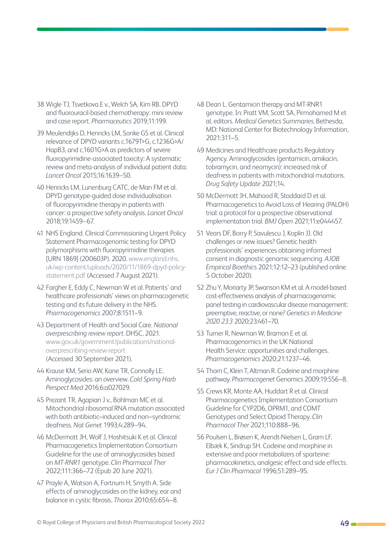- 38 Wigle TJ, Tsvetkova E v., Welch SA, Kim RB. DPYD and fluorouracil-based chemotherapy: mini review and case report. *Pharmaceutics* 2019;11:199.
- 39 Meulendijks D, Henricks LM, Sonke GS et al. Clinical relevance of DPYD variants c.1679T>G, c.1236G>A/ HapB3, and c.1601G>A as predictors of severe fluoropyrimidine-associated toxicity: A systematic review and meta-analysis of individual patient data. *Lancet Oncol* 2015;16:1639–50.
- 40 Henricks LM, Lunenburg CATC, de Man FM et al. DPYD genotype-guided dose individualisation of fluoropyrimidine therapy in patients with cancer: a prospective safety analysis. *Lancet Oncol* 2018;19:1459–67.
- 41 NHS England. Clinical Commissioning Urgent Policy Statement Pharmacogenomic testing for DPYD polymorphisms with fluoropyrimidine therapies [URN 1869] (200603P). 2020. [www.england.nhs.](http://www.england.nhs.uk/wp-content/uploads/2020/11/1869-dpyd-policy-statement.pdf) [uk/wp-content/uploads/2020/11/1869-dpyd-policy](http://www.england.nhs.uk/wp-content/uploads/2020/11/1869-dpyd-policy-statement.pdf)[statement.pdf](http://www.england.nhs.uk/wp-content/uploads/2020/11/1869-dpyd-policy-statement.pdf) (Accessed 7 August 2021).
- 42 Fargher E, Eddy C, Newman W et al. Patients' and healthcare professionals' views on pharmacogenetic testing and its future delivery in the NHS. *Pharmacogenomics* 2007;8:1511–9.
- 43 Department of Health and Social Care. *National overprescribing review report*. DHSC, 2021. [www.gov.uk/government/publications/national](http://www.gov.uk/government/publications/national-overprescribing-review-report)[overprescribing-review-report](http://www.gov.uk/government/publications/national-overprescribing-review-report)  (Accessed 30 September 2021).
- 44 Krause KM, Serio AW, Kane TR, Connolly LE. Aminoglycosides: an overview. *Cold Spring Harb Perspect Med* 2016;6:a027029.
- 45 Prezant TR, Agapian J v., Bohlman MC et al. Mitochondrial ribosomal RNA mutation associated with both antibiotic–induced and non–syndromic deafness. *Nat Genet* 1993;4:289–94.
- 46 McDermott JH, Wolf J, Hoshitsuki K et al. Clinical Pharmacogenetics Implementation Consortium Guideline for the use of aminoglycosides based on *MT-RNR1* genotype. *Clin Pharmacol Ther*  2022;111:366–72 (Epub 20 June 2021).
- 47 Prayle A, Watson A, Fortnum H, Smyth A. Side effects of aminoglycosides on the kidney, ear and balance in cystic fibrosis. *Thorax* 2010;65:654–8.
- 48 Dean L. Gentamicin therapy and MT-RNR1 genotype. In: Pratt VM, Scott SA, Pirmohamed M et al, editors. *Medical Genetics Summaries*. Bethesda, MD: National Center for Biotechnology Information, 2021:311–5.
- 49 Medicines and Healthcare products Regulatory Agency. Aminoglycosides (gentamicin, amikacin, tobramycin, and neomycin): increased risk of deafness in patients with mitochondrial mutations. *Drug Safety Update* 2021;14.
- 50 McDermott JH, Mahood R, Stoddard D et al. Pharmacogenetics to Avoid Loss of Hearing (PALOH) trial: a protocol for a prospective observational implementation trial. *BMJ Open* 2021;11:e044457.
- 51 Vears DF, Borry P, Savulescu J, Koplin JJ. Old challenges or new issues? Genetic health professionals' experiences obtaining informed consent in diagnostic genomic sequencing. *AJOB Empirical Bioethic*s 2021;12:12–23 (published online 5 October 2020).
- 52 Zhu Y, Moriarty JP, Swanson KM et al. A model-based cost-effectiveness analysis of pharmacogenomic panel testing in cardiovascular disease management: preemptive, reactive, or none? *Genetics in Medicine 2020 23:3* 2020;23:461–70.
- 53 Turner R, Newman W, Bramon E et al. Pharmacogenomics in the UK National Health Service: opportunities and challenges. *Pharmacogenomics* 2020;21:1237–46.
- 54 Thorn C, Klein T, Altman R. Codeine and morphine pathway. *Pharmacogenet* Genomics 2009;19:556–8.
- 55 Crews KR, Monte AA, Huddart R et al. Clinical Pharmacogenetics Implementation Consortium Guideline for CYP2D6, OPRM1, and COMT Genotypes and Select Opioid Therapy. *Clin Pharmacol Ther* 2021;110:888–96.
- 56 Poulsen L, Brøsen K, Arendt-Nielsen L, Gram LF, Elbæk K, Sindrup SH. Codeine and morphine in extensive and poor metabolizers of sparteine: pharmacokinetics, analgesic effect and side effects. *Eur J Clin Pharmacol* 1996;51:289–95.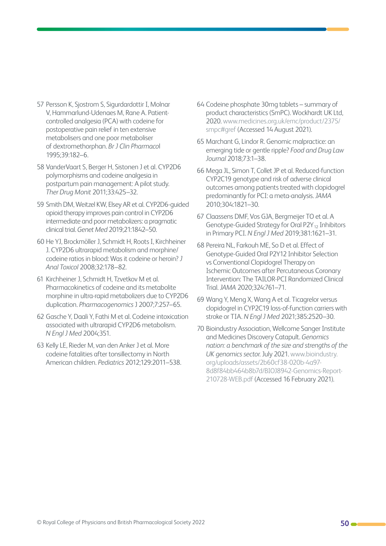- 57 Persson K, Sjostrom S, Sigurdardottir I, Molnar V, Hammarlund-Udenaes M, Rane A. Patientcontrolled analgesia (PCA) with codeine for postoperative pain relief in ten extensive metabolisers and one poor metaboliser of dextromethorphan. *Br J Clin Pharmaco*l 1995;39:182–6.
- 58 VanderVaart S, Berger H, Sistonen J et al. CYP2D6 polymorphisms and codeine analgesia in postpartum pain management: A pilot study. *Ther Drug Monit* 2011;33:425–32.
- 59 Smith DM, Weitzel KW, Elsey AR et al. CYP2D6-guided opioid therapy improves pain control in CYP2D6 intermediate and poor metabolizers: a pragmatic clinical trial. *Genet Med* 2019;21:1842–50.
- 60 He YJ, Brockmöller J, Schmidt H, Roots I, Kirchheiner J. CYP2D6 ultrarapid metabolism and morphine/ codeine ratios in blood: Was it codeine or heroin? *J Anal Toxicol* 2008;32:178–82.
- 61 Kirchheiner J, Schmidt H, Tzvetkov M et al. Pharmacokinetics of codeine and its metabolite morphine in ultra-rapid metabolizers due to CYP2D6 duplication. *Pharmacogenomics* J 2007;7:257–65.
- 62 Gasche Y, Daali Y, Fathi M et al. Codeine intoxication associated with ultrarapid CYP2D6 metabolism. *N Engl J Med* 2004;351.
- 63 Kelly LE, Rieder M, van den Anker J et al. More codeine fatalities after tonsillectomy in North American children. *Pediatrics* 2012;129:2011–538.
- 64 Codeine phosphate 30mg tablets summary of product characteristics (SmPC). Wockhardt UK Ltd, 2020. [www.medicines.org.uk/emc/product/2375/](http://www.medicines.org.uk/emc/product/2375/smpc#gref) [smpc#gref](http://www.medicines.org.uk/emc/product/2375/smpc#gref) (Accessed 14 August 2021).
- 65 Marchant G, Lindor R. Genomic malpractice: an emerging tide or gentle ripple? *Food and Drug Law Journal* 2018;73:1–38.
- 66 Mega JL, Simon T, Collet JP et al. Reduced-function CYP2C19 genotype and risk of adverse clinical outcomes among patients treated with clopidogrel predominantly for PCI: a meta-analysis. *JAMA* 2010;304:1821–30.
- 67 Claassens DMF, Vos GJA, Bergmeijer TO et al. A Genotype-Guided Strategy for Oral P2Y<sub>12</sub> Inhibitors in Primary PCI. *N Engl J Med* 2019;381:1621–31.
- 68 Pereira NL, Farkouh ME, So D et al. Effect of Genotype-Guided Oral P2Y12 Inhibitor Selection vs Conventional Clopidogrel Therapy on Ischemic Outcomes after Percutaneous Coronary Intervention: The TAILOR-PCI Randomized Clinical Trial. *JAMA* 2020;324:761–71.
- 69 Wang Y, Meng X, Wang A et al. Ticagrelor versus clopidogrel in CYP2C19 loss-of-function carriers with stroke or TIA. *N Engl J Med* 2021;385:2520–30.
- 70 Bioindustry Association, Wellcome Sanger Institute and Medicines Discovery Catapult. *Genomics nation: a benchmark of the size and strengths of the UK genomics sector*. July 2021. [www.bioindustry.](http://www.bioindustry.org/uploads/assets/2b60cf38-020b-4a97-8d8f84bb464b8b7d/BIOJ8942-Genomics-Report-210728-WEB.pdf) [org/uploads/assets/2b60cf38-020b-4a97-](http://www.bioindustry.org/uploads/assets/2b60cf38-020b-4a97-8d8f84bb464b8b7d/BIOJ8942-Genomics-Report-210728-WEB.pdf) [8d8f84bb464b8b7d/BIOJ8942-Genomics-Report-](http://www.bioindustry.org/uploads/assets/2b60cf38-020b-4a97-8d8f84bb464b8b7d/BIOJ8942-Genomics-Report-210728-WEB.pdf)[210728-WEB.pdf](http://www.bioindustry.org/uploads/assets/2b60cf38-020b-4a97-8d8f84bb464b8b7d/BIOJ8942-Genomics-Report-210728-WEB.pdf) (Accessed 16 February 2021).